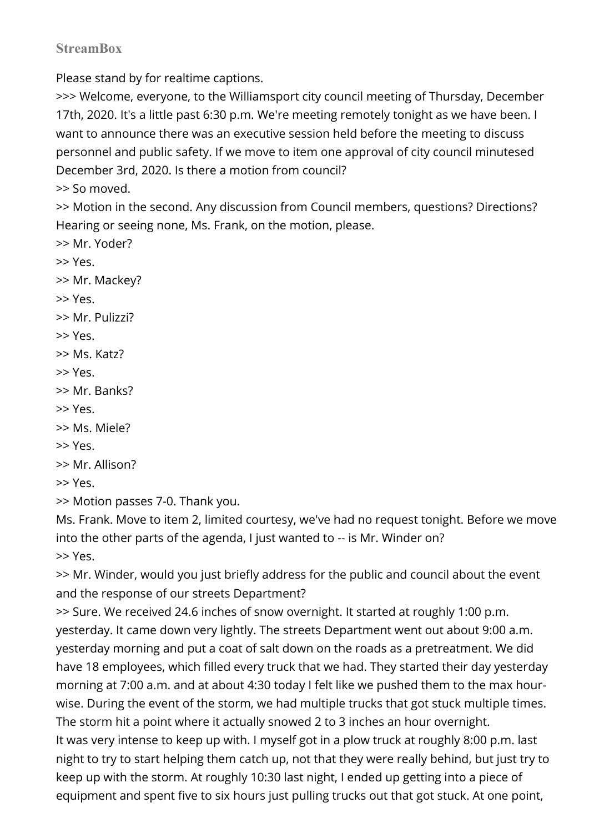# **StreamBox**

Please stand by for realtime captions.

>>> Welcome, everyone, to the Williamsport city council meeting of Thursday, December 17th, 2020. It's a little past 6:30 p.m. We're meeting remotely tonight as we have been. I want to announce there was an executive session held before the meeting to discuss personnel and public safety. If we move to item one approval of city council minutesed December 3rd, 2020. Is there a motion from council?

>> So moved.

>> Motion in the second. Any discussion from Council members, questions? Directions? Hearing or seeing none, Ms. Frank, on the motion, please.

```
>> Mr. Yoder?
```
>> Yes.

```
>> Mr. Mackey?
```

```
>> Yes.
```

```
>> Mr. Pulizzi?
```

```
>> Yes.
```

```
>> Ms. Katz?
```

```
>> Yes.
```

```
>> Mr. Banks?
```

```
>> Yes.
```
>> Ms. Miele?

```
>> Yes.
```

```
>> Mr. Allison?
```

```
>> Yes.
```
>> Motion passes 7-0. Thank you.

Ms. Frank. Move to item 2, limited courtesy, we've had no request tonight. Before we move into the other parts of the agenda, I just wanted to -- is Mr. Winder on? >> Yes.

>> Mr. Winder, would you just briefly address for the public and council about the event and the response of our streets Department?

>> Sure. We received 24.6 inches of snow overnight. It started at roughly 1:00 p.m. yesterday. It came down very lightly. The streets Department went out about 9:00 a.m. yesterday morning and put a coat of salt down on the roads as a pretreatment. We did have 18 employees, which filled every truck that we had. They started their day yesterday morning at 7:00 a.m. and at about 4:30 today I felt like we pushed them to the max hourwise. During the event of the storm, we had multiple trucks that got stuck multiple times. The storm hit a point where it actually snowed 2 to 3 inches an hour overnight. It was very intense to keep up with. I myself got in a plow truck at roughly 8:00 p.m. last night to try to start helping them catch up, not that they were really behind, but just try to keep up with the storm. At roughly 10:30 last night, I ended up getting into a piece of equipment and spent five to six hours just pulling trucks out that got stuck. At one point,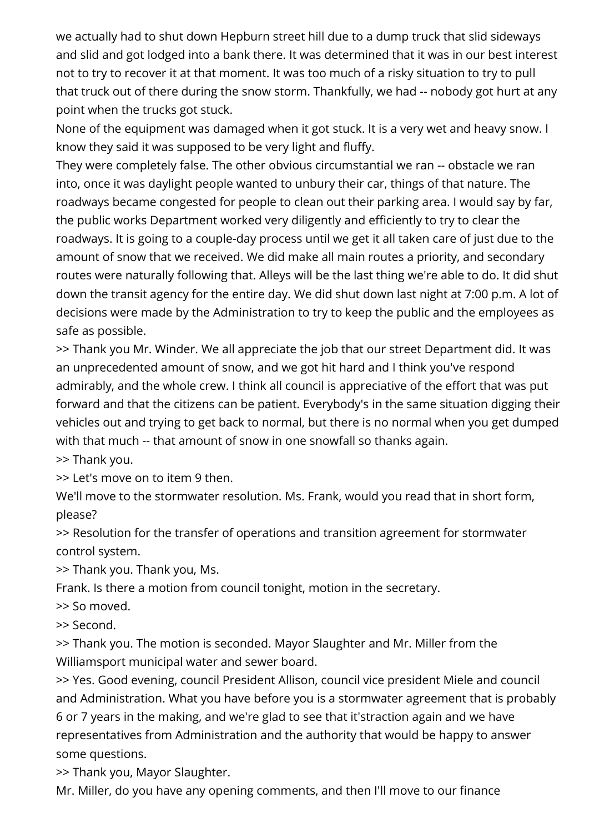we actually had to shut down Hepburn street hill due to a dump truck that slid sideways and slid and got lodged into a bank there. It was determined that it was in our best interest not to try to recover it at that moment. It was too much of a risky situation to try to pull that truck out of there during the snow storm. Thankfully, we had -- nobody got hurt at any point when the trucks got stuck.

None of the equipment was damaged when it got stuck. It is a very wet and heavy snow. I know they said it was supposed to be very light and fluffy.

They were completely false. The other obvious circumstantial we ran -- obstacle we ran into, once it was daylight people wanted to unbury their car, things of that nature. The roadways became congested for people to clean out their parking area. I would say by far, the public works Department worked very diligently and efficiently to try to clear the roadways. It is going to a couple-day process until we get it all taken care of just due to the amount of snow that we received. We did make all main routes a priority, and secondary routes were naturally following that. Alleys will be the last thing we're able to do. It did shut down the transit agency for the entire day. We did shut down last night at 7:00 p.m. A lot of decisions were made by the Administration to try to keep the public and the employees as safe as possible.

>> Thank you Mr. Winder. We all appreciate the job that our street Department did. It was an unprecedented amount of snow, and we got hit hard and I think you've respond admirably, and the whole crew. I think all council is appreciative of the effort that was put forward and that the citizens can be patient. Everybody's in the same situation digging their vehicles out and trying to get back to normal, but there is no normal when you get dumped with that much -- that amount of snow in one snowfall so thanks again.

>> Thank you.

>> Let's move on to item 9 then.

We'll move to the stormwater resolution. Ms. Frank, would you read that in short form, please?

>> Resolution for the transfer of operations and transition agreement for stormwater control system.

>> Thank you. Thank you, Ms.

Frank. Is there a motion from council tonight, motion in the secretary.

>> So moved.

>> Second.

>> Thank you. The motion is seconded. Mayor Slaughter and Mr. Miller from the Williamsport municipal water and sewer board.

>> Yes. Good evening, council President Allison, council vice president Miele and council and Administration. What you have before you is a stormwater agreement that is probably 6 or 7 years in the making, and we're glad to see that it'straction again and we have representatives from Administration and the authority that would be happy to answer some questions.

>> Thank you, Mayor Slaughter.

Mr. Miller, do you have any opening comments, and then I'll move to our finance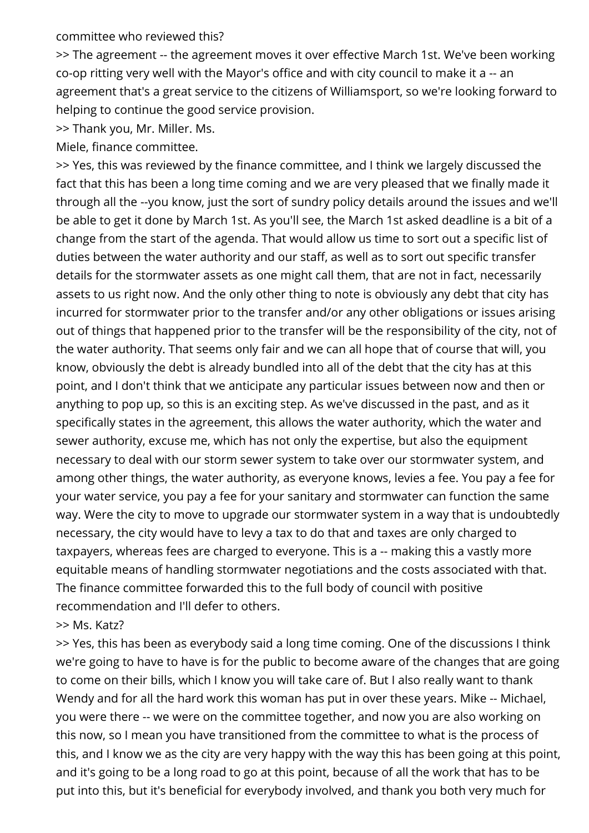committee who reviewed this?

>> The agreement -- the agreement moves it over effective March 1st. We've been working co-op ritting very well with the Mayor's office and with city council to make it a -- an agreement that's a great service to the citizens of Williamsport, so we're looking forward to helping to continue the good service provision.

>> Thank you, Mr. Miller. Ms.

Miele, finance committee.

>> Yes, this was reviewed by the finance committee, and I think we largely discussed the fact that this has been a long time coming and we are very pleased that we finally made it through all the --you know, just the sort of sundry policy details around the issues and we'll be able to get it done by March 1st. As you'll see, the March 1st asked deadline is a bit of a change from the start of the agenda. That would allow us time to sort out a specific list of duties between the water authority and our staff, as well as to sort out specific transfer details for the stormwater assets as one might call them, that are not in fact, necessarily assets to us right now. And the only other thing to note is obviously any debt that city has incurred for stormwater prior to the transfer and/or any other obligations or issues arising out of things that happened prior to the transfer will be the responsibility of the city, not of the water authority. That seems only fair and we can all hope that of course that will, you know, obviously the debt is already bundled into all of the debt that the city has at this point, and I don't think that we anticipate any particular issues between now and then or anything to pop up, so this is an exciting step. As we've discussed in the past, and as it specifically states in the agreement, this allows the water authority, which the water and sewer authority, excuse me, which has not only the expertise, but also the equipment necessary to deal with our storm sewer system to take over our stormwater system, and among other things, the water authority, as everyone knows, levies a fee. You pay a fee for your water service, you pay a fee for your sanitary and stormwater can function the same way. Were the city to move to upgrade our stormwater system in a way that is undoubtedly necessary, the city would have to levy a tax to do that and taxes are only charged to taxpayers, whereas fees are charged to everyone. This is a -- making this a vastly more equitable means of handling stormwater negotiations and the costs associated with that. The finance committee forwarded this to the full body of council with positive recommendation and I'll defer to others.

>> Ms. Katz?

>> Yes, this has been as everybody said a long time coming. One of the discussions I think we're going to have to have is for the public to become aware of the changes that are going to come on their bills, which I know you will take care of. But I also really want to thank Wendy and for all the hard work this woman has put in over these years. Mike -- Michael, you were there -- we were on the committee together, and now you are also working on this now, so I mean you have transitioned from the committee to what is the process of this, and I know we as the city are very happy with the way this has been going at this point, and it's going to be a long road to go at this point, because of all the work that has to be put into this, but it's beneficial for everybody involved, and thank you both very much for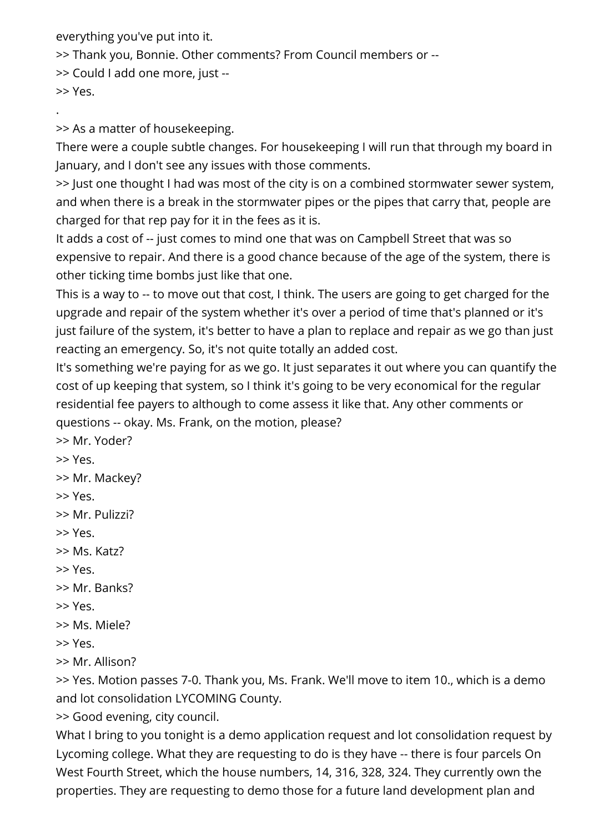everything you've put into it.

>> Thank you, Bonnie. Other comments? From Council members or --

>> Could I add one more, just --

>> Yes.

.

>> As a matter of housekeeping.

There were a couple subtle changes. For housekeeping I will run that through my board in January, and I don't see any issues with those comments.

>> Just one thought I had was most of the city is on a combined stormwater sewer system, and when there is a break in the stormwater pipes or the pipes that carry that, people are charged for that rep pay for it in the fees as it is.

It adds a cost of -- just comes to mind one that was on Campbell Street that was so expensive to repair. And there is a good chance because of the age of the system, there is other ticking time bombs just like that one.

This is a way to -- to move out that cost, I think. The users are going to get charged for the upgrade and repair of the system whether it's over a period of time that's planned or it's just failure of the system, it's better to have a plan to replace and repair as we go than just reacting an emergency. So, it's not quite totally an added cost.

It's something we're paying for as we go. It just separates it out where you can quantify the cost of up keeping that system, so I think it's going to be very economical for the regular residential fee payers to although to come assess it like that. Any other comments or questions -- okay. Ms. Frank, on the motion, please?

>> Mr. Yoder?

>> Yes.

>> Mr. Mackey?

>> Yes.

>> Mr. Pulizzi?

>> Yes.

>> Ms. Katz?

>> Yes.

>> Mr. Banks?

>> Yes.

>> Ms. Miele?

>> Yes.

>> Mr. Allison?

>> Yes. Motion passes 7-0. Thank you, Ms. Frank. We'll move to item 10., which is a demo and lot consolidation LYCOMING County.

>> Good evening, city council.

What I bring to you tonight is a demo application request and lot consolidation request by Lycoming college. What they are requesting to do is they have -- there is four parcels On West Fourth Street, which the house numbers, 14, 316, 328, 324. They currently own the properties. They are requesting to demo those for a future land development plan and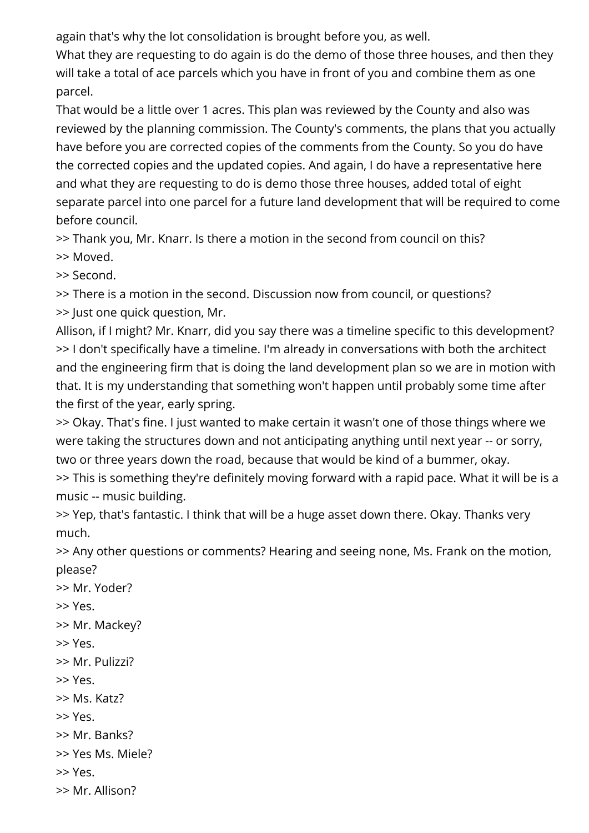again that's why the lot consolidation is brought before you, as well.

What they are requesting to do again is do the demo of those three houses, and then they will take a total of ace parcels which you have in front of you and combine them as one parcel.

That would be a little over 1 acres. This plan was reviewed by the County and also was reviewed by the planning commission. The County's comments, the plans that you actually have before you are corrected copies of the comments from the County. So you do have the corrected copies and the updated copies. And again, I do have a representative here and what they are requesting to do is demo those three houses, added total of eight separate parcel into one parcel for a future land development that will be required to come before council.

>> Thank you, Mr. Knarr. Is there a motion in the second from council on this? >> Moved.

>> Second.

>> There is a motion in the second. Discussion now from council, or questions? >> Just one quick question, Mr.

Allison, if I might? Mr. Knarr, did you say there was a timeline specific to this development? >> I don't specifically have a timeline. I'm already in conversations with both the architect and the engineering firm that is doing the land development plan so we are in motion with that. It is my understanding that something won't happen until probably some time after the first of the year, early spring.

>> Okay. That's fine. I just wanted to make certain it wasn't one of those things where we were taking the structures down and not anticipating anything until next year -- or sorry, two or three years down the road, because that would be kind of a bummer, okay. >> This is something they're definitely moving forward with a rapid pace. What it will be is a

music -- music building.

>> Yep, that's fantastic. I think that will be a huge asset down there. Okay. Thanks very much.

>> Any other questions or comments? Hearing and seeing none, Ms. Frank on the motion, please?

- >> Mr. Yoder?
- >> Yes.
- >> Mr. Mackey?
- >> Yes.
- >> Mr. Pulizzi?
- >> Yes.
- >> Ms. Katz?
- >> Yes.
- >> Mr. Banks?
- >> Yes Ms. Miele?
- >> Yes.
- >> Mr. Allison?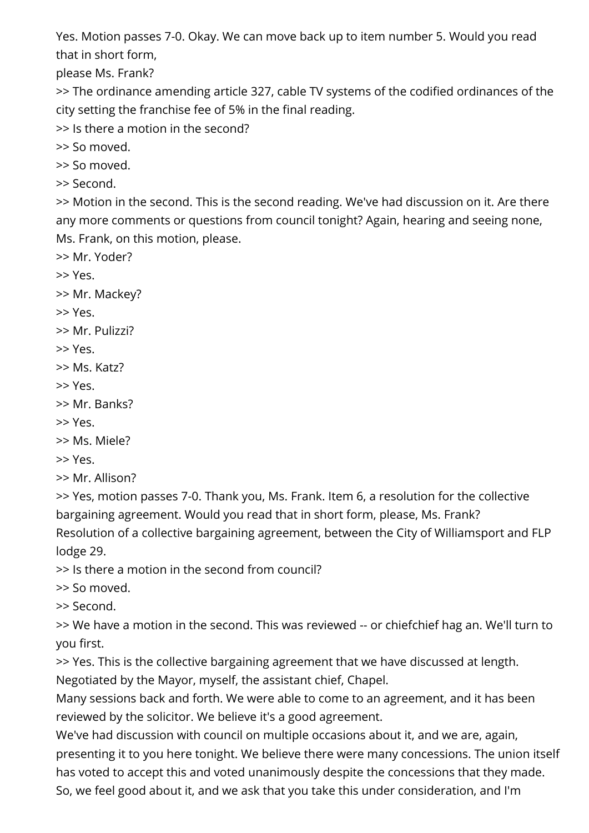Yes. Motion passes 7-0. Okay. We can move back up to item number 5. Would you read that in short form,

please Ms. Frank?

>> The ordinance amending article 327, cable TV systems of the codified ordinances of the city setting the franchise fee of 5% in the final reading.

>> Is there a motion in the second?

>> So moved.

>> So moved.

>> Second.

>> Motion in the second. This is the second reading. We've had discussion on it. Are there any more comments or questions from council tonight? Again, hearing and seeing none, Ms. Frank, on this motion, please.

>> Mr. Yoder?

>> Yes.

>> Mr. Mackey?

- >> Yes.
- >> Mr. Pulizzi?
- >> Yes.
- >> Ms. Katz?
- >> Yes.
- >> Mr. Banks?
- >> Yes.
- >> Ms. Miele?
- >> Yes.
- >> Mr. Allison?

>> Yes, motion passes 7-0. Thank you, Ms. Frank. Item 6, a resolution for the collective bargaining agreement. Would you read that in short form, please, Ms. Frank? Resolution of a collective bargaining agreement, between the City of Williamsport and FLP lodge 29.

>> Is there a motion in the second from council?

>> So moved.

>> Second.

>> We have a motion in the second. This was reviewed -- or chiefchief hag an. We'll turn to you first.

>> Yes. This is the collective bargaining agreement that we have discussed at length.

Negotiated by the Mayor, myself, the assistant chief, Chapel.

Many sessions back and forth. We were able to come to an agreement, and it has been reviewed by the solicitor. We believe it's a good agreement.

We've had discussion with council on multiple occasions about it, and we are, again, presenting it to you here tonight. We believe there were many concessions. The union itself has voted to accept this and voted unanimously despite the concessions that they made. So, we feel good about it, and we ask that you take this under consideration, and I'm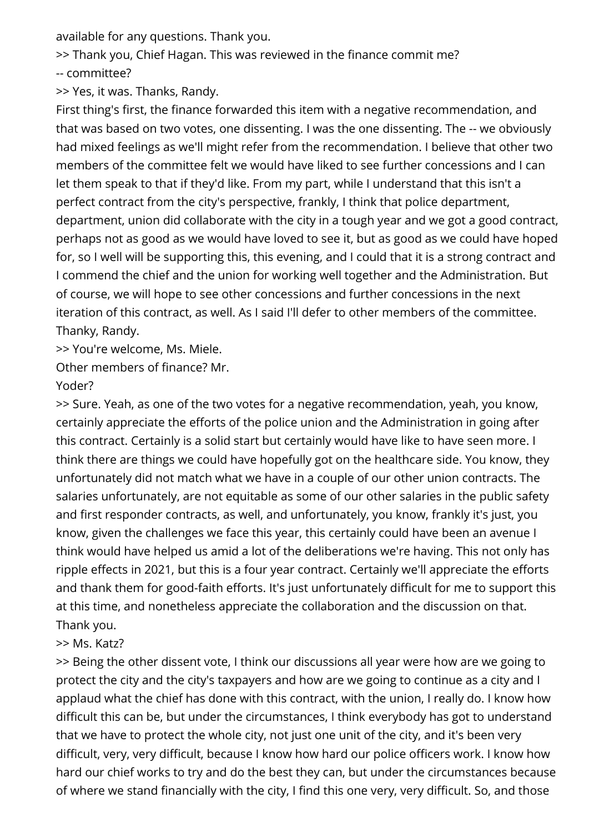available for any questions. Thank you.

>> Thank you, Chief Hagan. This was reviewed in the finance commit me? -- committee?

>> Yes, it was. Thanks, Randy.

First thing's first, the finance forwarded this item with a negative recommendation, and that was based on two votes, one dissenting. I was the one dissenting. The -- we obviously had mixed feelings as we'll might refer from the recommendation. I believe that other two members of the committee felt we would have liked to see further concessions and I can let them speak to that if they'd like. From my part, while I understand that this isn't a perfect contract from the city's perspective, frankly, I think that police department, department, union did collaborate with the city in a tough year and we got a good contract, perhaps not as good as we would have loved to see it, but as good as we could have hoped for, so I well will be supporting this, this evening, and I could that it is a strong contract and I commend the chief and the union for working well together and the Administration. But of course, we will hope to see other concessions and further concessions in the next iteration of this contract, as well. As I said I'll defer to other members of the committee. Thanky, Randy.

>> You're welcome, Ms. Miele.

Other members of finance? Mr.

### Yoder?

>> Sure. Yeah, as one of the two votes for a negative recommendation, yeah, you know, certainly appreciate the efforts of the police union and the Administration in going after this contract. Certainly is a solid start but certainly would have like to have seen more. I think there are things we could have hopefully got on the healthcare side. You know, they unfortunately did not match what we have in a couple of our other union contracts. The salaries unfortunately, are not equitable as some of our other salaries in the public safety and first responder contracts, as well, and unfortunately, you know, frankly it's just, you know, given the challenges we face this year, this certainly could have been an avenue I think would have helped us amid a lot of the deliberations we're having. This not only has ripple effects in 2021, but this is a four year contract. Certainly we'll appreciate the efforts and thank them for good-faith efforts. It's just unfortunately difficult for me to support this at this time, and nonetheless appreciate the collaboration and the discussion on that. Thank you.

# >> Ms. Katz?

>> Being the other dissent vote, I think our discussions all year were how are we going to protect the city and the city's taxpayers and how are we going to continue as a city and I applaud what the chief has done with this contract, with the union, I really do. I know how difficult this can be, but under the circumstances, I think everybody has got to understand that we have to protect the whole city, not just one unit of the city, and it's been very difficult, very, very difficult, because I know how hard our police officers work. I know how hard our chief works to try and do the best they can, but under the circumstances because of where we stand financially with the city, I find this one very, very difficult. So, and those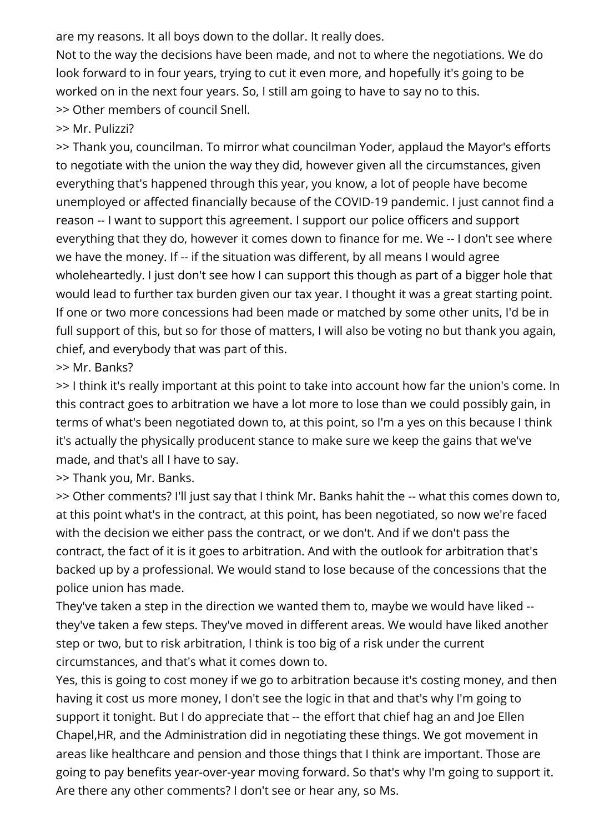are my reasons. It all boys down to the dollar. It really does.

Not to the way the decisions have been made, and not to where the negotiations. We do look forward to in four years, trying to cut it even more, and hopefully it's going to be worked on in the next four years. So, I still am going to have to say no to this. >> Other members of council Snell.

>> Mr. Pulizzi?

>> Thank you, councilman. To mirror what councilman Yoder, applaud the Mayor's efforts to negotiate with the union the way they did, however given all the circumstances, given everything that's happened through this year, you know, a lot of people have become unemployed or affected financially because of the COVID-19 pandemic. I just cannot find a reason -- I want to support this agreement. I support our police officers and support everything that they do, however it comes down to finance for me. We -- I don't see where we have the money. If -- if the situation was different, by all means I would agree wholeheartedly. I just don't see how I can support this though as part of a bigger hole that would lead to further tax burden given our tax year. I thought it was a great starting point. If one or two more concessions had been made or matched by some other units, I'd be in full support of this, but so for those of matters, I will also be voting no but thank you again, chief, and everybody that was part of this.

>> Mr. Banks?

>> I think it's really important at this point to take into account how far the union's come. In this contract goes to arbitration we have a lot more to lose than we could possibly gain, in terms of what's been negotiated down to, at this point, so I'm a yes on this because I think it's actually the physically producent stance to make sure we keep the gains that we've made, and that's all I have to say.

>> Thank you, Mr. Banks.

>> Other comments? I'll just say that I think Mr. Banks hahit the -- what this comes down to, at this point what's in the contract, at this point, has been negotiated, so now we're faced with the decision we either pass the contract, or we don't. And if we don't pass the contract, the fact of it is it goes to arbitration. And with the outlook for arbitration that's backed up by a professional. We would stand to lose because of the concessions that the police union has made.

They've taken a step in the direction we wanted them to, maybe we would have liked - they've taken a few steps. They've moved in different areas. We would have liked another step or two, but to risk arbitration, I think is too big of a risk under the current circumstances, and that's what it comes down to.

Yes, this is going to cost money if we go to arbitration because it's costing money, and then having it cost us more money, I don't see the logic in that and that's why I'm going to support it tonight. But I do appreciate that -- the effort that chief hag an and Joe Ellen Chapel,HR, and the Administration did in negotiating these things. We got movement in areas like healthcare and pension and those things that I think are important. Those are going to pay benefits year-over-year moving forward. So that's why I'm going to support it. Are there any other comments? I don't see or hear any, so Ms.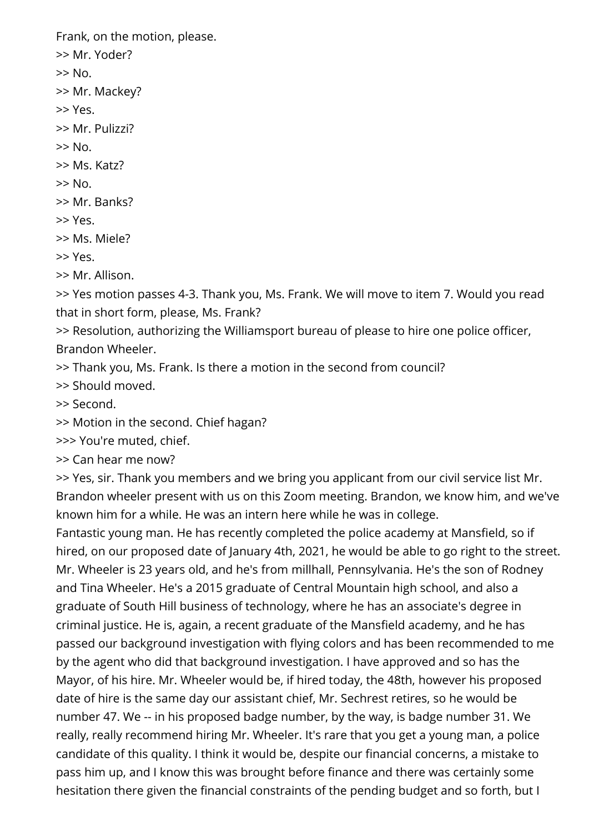Frank, on the motion, please.

- >> Mr. Yoder?
- $>>$  No.
- >> Mr. Mackey?
- >> Yes.
- >> Mr. Pulizzi?
- $>>$  No.
- >> Ms. Katz?
- $>>$  No.
- >> Mr. Banks?
- >> Yes.
- >> Ms. Miele?
- >> Yes.
- >> Mr. Allison.

>> Yes motion passes 4-3. Thank you, Ms. Frank. We will move to item 7. Would you read that in short form, please, Ms. Frank?

- >> Resolution, authorizing the Williamsport bureau of please to hire one police officer, Brandon Wheeler.
- >> Thank you, Ms. Frank. Is there a motion in the second from council?
- >> Should moved.
- >> Second.
- >> Motion in the second. Chief hagan?
- >>> You're muted, chief.
- >> Can hear me now?

>> Yes, sir. Thank you members and we bring you applicant from our civil service list Mr. Brandon wheeler present with us on this Zoom meeting. Brandon, we know him, and we've known him for a while. He was an intern here while he was in college.

Fantastic young man. He has recently completed the police academy at Mansfield, so if hired, on our proposed date of January 4th, 2021, he would be able to go right to the street. Mr. Wheeler is 23 years old, and he's from millhall, Pennsylvania. He's the son of Rodney and Tina Wheeler. He's a 2015 graduate of Central Mountain high school, and also a graduate of South Hill business of technology, where he has an associate's degree in criminal justice. He is, again, a recent graduate of the Mansfield academy, and he has passed our background investigation with flying colors and has been recommended to me by the agent who did that background investigation. I have approved and so has the Mayor, of his hire. Mr. Wheeler would be, if hired today, the 48th, however his proposed date of hire is the same day our assistant chief, Mr. Sechrest retires, so he would be number 47. We -- in his proposed badge number, by the way, is badge number 31. We really, really recommend hiring Mr. Wheeler. It's rare that you get a young man, a police candidate of this quality. I think it would be, despite our financial concerns, a mistake to pass him up, and I know this was brought before finance and there was certainly some hesitation there given the financial constraints of the pending budget and so forth, but I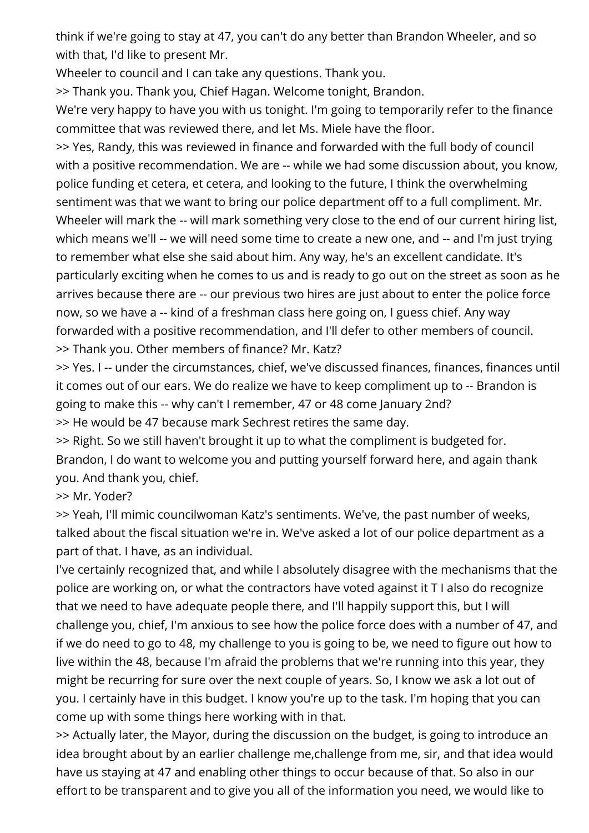think if we're going to stay at 47, you can't do any better than Brandon Wheeler, and so with that, I'd like to present Mr.

Wheeler to council and I can take any questions. Thank you.

>> Thank you. Thank you, Chief Hagan. Welcome tonight, Brandon.

We're very happy to have you with us tonight. I'm going to temporarily refer to the finance committee that was reviewed there, and let Ms. Miele have the floor.

>> Yes, Randy, this was reviewed in finance and forwarded with the full body of council with a positive recommendation. We are -- while we had some discussion about, you know, police funding et cetera, et cetera, and looking to the future, I think the overwhelming sentiment was that we want to bring our police department off to a full compliment. Mr. Wheeler will mark the -- will mark something very close to the end of our current hiring list, which means we'll -- we will need some time to create a new one, and -- and I'm just trying to remember what else she said about him. Any way, he's an excellent candidate. It's particularly exciting when he comes to us and is ready to go out on the street as soon as he arrives because there are -- our previous two hires are just about to enter the police force now, so we have a -- kind of a freshman class here going on, I guess chief. Any way forwarded with a positive recommendation, and I'll defer to other members of council. >> Thank you. Other members of finance? Mr. Katz?

>> Yes. I -- under the circumstances, chief, we've discussed finances, finances, finances until it comes out of our ears. We do realize we have to keep compliment up to -- Brandon is going to make this -- why can't I remember, 47 or 48 come January 2nd?

>> He would be 47 because mark Sechrest retires the same day.

>> Right. So we still haven't brought it up to what the compliment is budgeted for. Brandon, I do want to welcome you and putting yourself forward here, and again thank you. And thank you, chief.

>> Mr. Yoder?

>> Yeah, I'll mimic councilwoman Katz's sentiments. We've, the past number of weeks, talked about the fiscal situation we're in. We've asked a lot of our police department as a part of that. I have, as an individual.

I've certainly recognized that, and while I absolutely disagree with the mechanisms that the police are working on, or what the contractors have voted against it T I also do recognize that we need to have adequate people there, and I'll happily support this, but I will challenge you, chief, I'm anxious to see how the police force does with a number of 47, and if we do need to go to 48, my challenge to you is going to be, we need to figure out how to live within the 48, because I'm afraid the problems that we're running into this year, they might be recurring for sure over the next couple of years. So, I know we ask a lot out of you. I certainly have in this budget. I know you're up to the task. I'm hoping that you can come up with some things here working with in that.

>> Actually later, the Mayor, during the discussion on the budget, is going to introduce an idea brought about by an earlier challenge me,challenge from me, sir, and that idea would have us staying at 47 and enabling other things to occur because of that. So also in our effort to be transparent and to give you all of the information you need, we would like to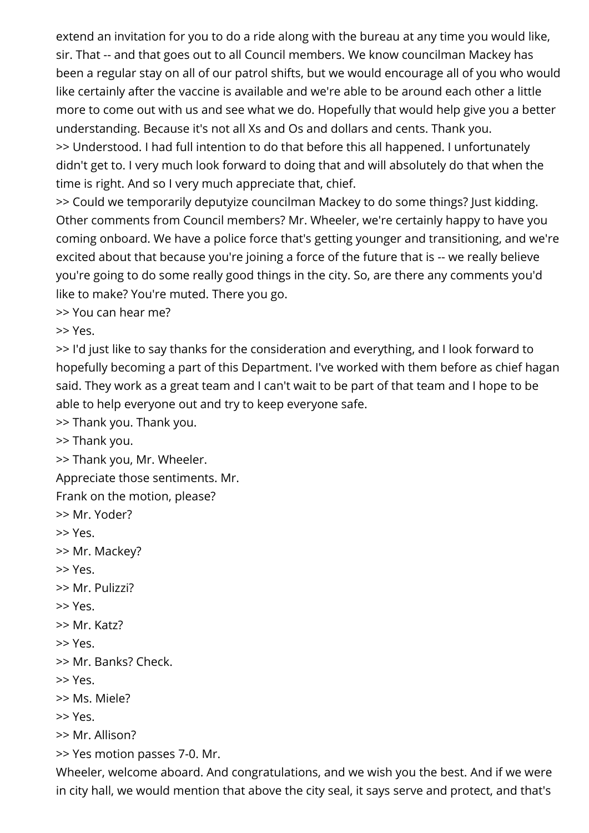extend an invitation for you to do a ride along with the bureau at any time you would like, sir. That -- and that goes out to all Council members. We know councilman Mackey has been a regular stay on all of our patrol shifts, but we would encourage all of you who would like certainly after the vaccine is available and we're able to be around each other a little more to come out with us and see what we do. Hopefully that would help give you a better understanding. Because it's not all Xs and Os and dollars and cents. Thank you. >> Understood. I had full intention to do that before this all happened. I unfortunately didn't get to. I very much look forward to doing that and will absolutely do that when the time is right. And so I very much appreciate that, chief.

>> Could we temporarily deputyize councilman Mackey to do some things? Just kidding. Other comments from Council members? Mr. Wheeler, we're certainly happy to have you coming onboard. We have a police force that's getting younger and transitioning, and we're excited about that because you're joining a force of the future that is -- we really believe you're going to do some really good things in the city. So, are there any comments you'd like to make? You're muted. There you go.

>> You can hear me?

>> Yes.

>> I'd just like to say thanks for the consideration and everything, and I look forward to hopefully becoming a part of this Department. I've worked with them before as chief hagan said. They work as a great team and I can't wait to be part of that team and I hope to be able to help everyone out and try to keep everyone safe.

>> Thank you. Thank you.

>> Thank you.

>> Thank you, Mr. Wheeler.

Appreciate those sentiments. Mr.

Frank on the motion, please?

>> Mr. Yoder?

>> Yes.

>> Mr. Mackey?

>> Yes.

>> Mr. Pulizzi?

>> Yes.

>> Mr. Katz?

>> Yes.

>> Mr. Banks? Check.

>> Yes.

>> Ms. Miele?

>> Yes.

>> Mr. Allison?

>> Yes motion passes 7-0. Mr.

Wheeler, welcome aboard. And congratulations, and we wish you the best. And if we were in city hall, we would mention that above the city seal, it says serve and protect, and that's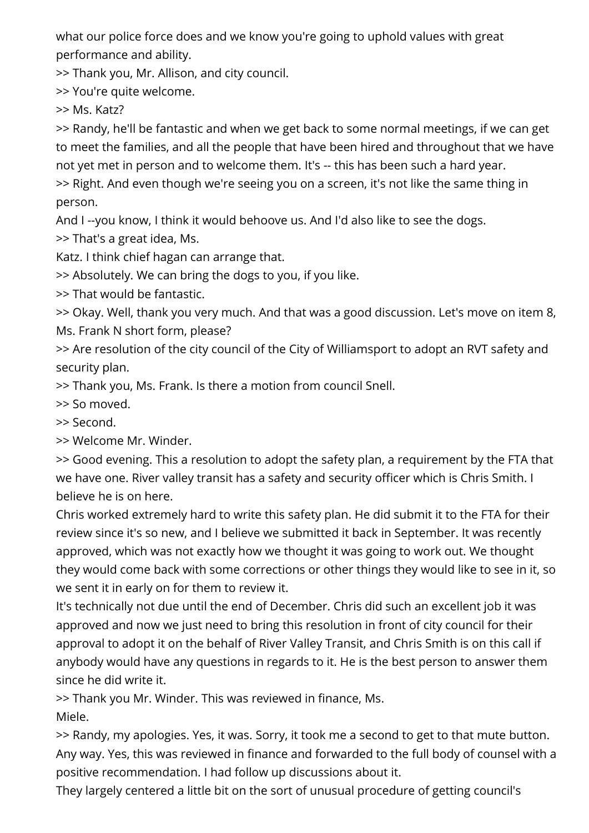what our police force does and we know you're going to uphold values with great performance and ability.

>> Thank you, Mr. Allison, and city council.

>> You're quite welcome.

>> Ms. Katz?

>> Randy, he'll be fantastic and when we get back to some normal meetings, if we can get to meet the families, and all the people that have been hired and throughout that we have not yet met in person and to welcome them. It's -- this has been such a hard year. >> Right. And even though we're seeing you on a screen, it's not like the same thing in person.

And I --you know, I think it would behoove us. And I'd also like to see the dogs.

>> That's a great idea, Ms.

Katz. I think chief hagan can arrange that.

>> Absolutely. We can bring the dogs to you, if you like.

>> That would be fantastic.

>> Okay. Well, thank you very much. And that was a good discussion. Let's move on item 8, Ms. Frank N short form, please?

>> Are resolution of the city council of the City of Williamsport to adopt an RVT safety and security plan.

>> Thank you, Ms. Frank. Is there a motion from council Snell.

>> So moved.

>> Second.

>> Welcome Mr. Winder.

>> Good evening. This a resolution to adopt the safety plan, a requirement by the FTA that we have one. River valley transit has a safety and security officer which is Chris Smith. I believe he is on here.

Chris worked extremely hard to write this safety plan. He did submit it to the FTA for their review since it's so new, and I believe we submitted it back in September. It was recently approved, which was not exactly how we thought it was going to work out. We thought they would come back with some corrections or other things they would like to see in it, so we sent it in early on for them to review it.

It's technically not due until the end of December. Chris did such an excellent job it was approved and now we just need to bring this resolution in front of city council for their approval to adopt it on the behalf of River Valley Transit, and Chris Smith is on this call if anybody would have any questions in regards to it. He is the best person to answer them since he did write it.

>> Thank you Mr. Winder. This was reviewed in finance, Ms.

Miele.

>> Randy, my apologies. Yes, it was. Sorry, it took me a second to get to that mute button. Any way. Yes, this was reviewed in finance and forwarded to the full body of counsel with a positive recommendation. I had follow up discussions about it.

They largely centered a little bit on the sort of unusual procedure of getting council's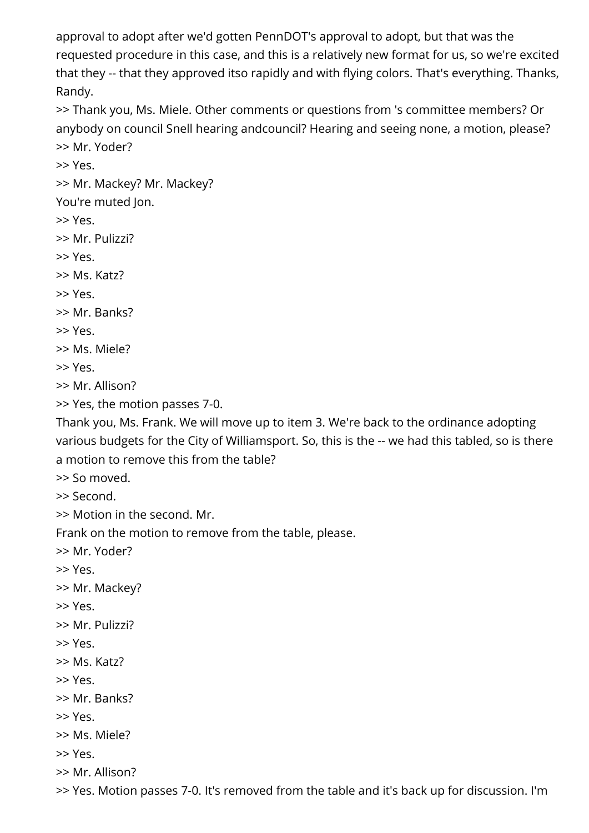approval to adopt after we'd gotten PennDOT's approval to adopt, but that was the requested procedure in this case, and this is a relatively new format for us, so we're excited that they -- that they approved itso rapidly and with flying colors. That's everything. Thanks, Randy.

>> Thank you, Ms. Miele. Other comments or questions from 's committee members? Or anybody on council Snell hearing andcouncil? Hearing and seeing none, a motion, please? >> Mr. Yoder?

>> Yes.

>> Mr. Mackey? Mr. Mackey?

You're muted Jon.

>> Yes.

>> Mr. Pulizzi?

>> Yes.

>> Ms. Katz?

>> Yes.

>> Mr. Banks?

>> Yes.

>> Ms. Miele?

>> Yes.

>> Mr. Allison?

>> Yes, the motion passes 7-0.

Thank you, Ms. Frank. We will move up to item 3. We're back to the ordinance adopting various budgets for the City of Williamsport. So, this is the -- we had this tabled, so is there a motion to remove this from the table?

>> So moved.

>> Second.

>> Motion in the second. Mr.

Frank on the motion to remove from the table, please.

>> Mr. Yoder?

>> Yes.

>> Mr. Mackey?

>> Yes.

>> Mr. Pulizzi?

>> Yes.

>> Ms. Katz?

>> Yes.

>> Mr. Banks?

>> Yes.

>> Ms. Miele?

>> Yes.

>> Mr. Allison?

>> Yes. Motion passes 7-0. It's removed from the table and it's back up for discussion. I'm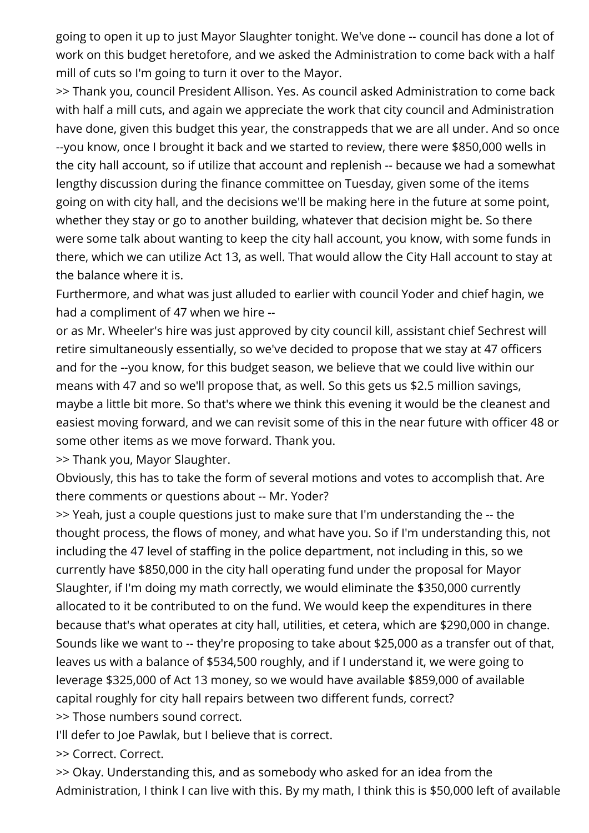going to open it up to just Mayor Slaughter tonight. We've done -- council has done a lot of work on this budget heretofore, and we asked the Administration to come back with a half mill of cuts so I'm going to turn it over to the Mayor.

>> Thank you, council President Allison. Yes. As council asked Administration to come back with half a mill cuts, and again we appreciate the work that city council and Administration have done, given this budget this year, the constrappeds that we are all under. And so once --you know, once I brought it back and we started to review, there were \$850,000 wells in the city hall account, so if utilize that account and replenish -- because we had a somewhat lengthy discussion during the finance committee on Tuesday, given some of the items going on with city hall, and the decisions we'll be making here in the future at some point, whether they stay or go to another building, whatever that decision might be. So there were some talk about wanting to keep the city hall account, you know, with some funds in there, which we can utilize Act 13, as well. That would allow the City Hall account to stay at the balance where it is.

Furthermore, and what was just alluded to earlier with council Yoder and chief hagin, we had a compliment of 47 when we hire --

or as Mr. Wheeler's hire was just approved by city council kill, assistant chief Sechrest will retire simultaneously essentially, so we've decided to propose that we stay at 47 officers and for the --you know, for this budget season, we believe that we could live within our means with 47 and so we'll propose that, as well. So this gets us \$2.5 million savings, maybe a little bit more. So that's where we think this evening it would be the cleanest and easiest moving forward, and we can revisit some of this in the near future with officer 48 or some other items as we move forward. Thank you.

>> Thank you, Mayor Slaughter.

Obviously, this has to take the form of several motions and votes to accomplish that. Are there comments or questions about -- Mr. Yoder?

>> Yeah, just a couple questions just to make sure that I'm understanding the -- the thought process, the flows of money, and what have you. So if I'm understanding this, not including the 47 level of staffing in the police department, not including in this, so we currently have \$850,000 in the city hall operating fund under the proposal for Mayor Slaughter, if I'm doing my math correctly, we would eliminate the \$350,000 currently allocated to it be contributed to on the fund. We would keep the expenditures in there because that's what operates at city hall, utilities, et cetera, which are \$290,000 in change. Sounds like we want to -- they're proposing to take about \$25,000 as a transfer out of that, leaves us with a balance of \$534,500 roughly, and if I understand it, we were going to leverage \$325,000 of Act 13 money, so we would have available \$859,000 of available capital roughly for city hall repairs between two different funds, correct? >> Those numbers sound correct.

I'll defer to Joe Pawlak, but I believe that is correct.

>> Correct. Correct.

>> Okay. Understanding this, and as somebody who asked for an idea from the Administration, I think I can live with this. By my math, I think this is \$50,000 left of available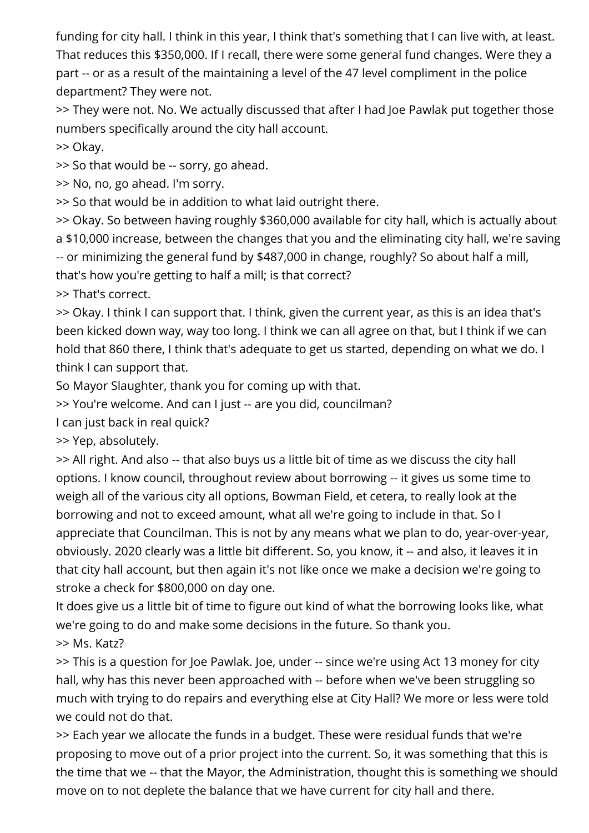funding for city hall. I think in this year, I think that's something that I can live with, at least. That reduces this \$350,000. If I recall, there were some general fund changes. Were they a part -- or as a result of the maintaining a level of the 47 level compliment in the police department? They were not.

>> They were not. No. We actually discussed that after I had Joe Pawlak put together those numbers specifically around the city hall account.

>> Okay.

>> So that would be -- sorry, go ahead.

>> No, no, go ahead. I'm sorry.

>> So that would be in addition to what laid outright there.

>> Okay. So between having roughly \$360,000 available for city hall, which is actually about a \$10,000 increase, between the changes that you and the eliminating city hall, we're saving -- or minimizing the general fund by \$487,000 in change, roughly? So about half a mill, that's how you're getting to half a mill; is that correct?

>> That's correct.

>> Okay. I think I can support that. I think, given the current year, as this is an idea that's been kicked down way, way too long. I think we can all agree on that, but I think if we can hold that 860 there, I think that's adequate to get us started, depending on what we do. I think I can support that.

So Mayor Slaughter, thank you for coming up with that.

>> You're welcome. And can I just -- are you did, councilman?

I can just back in real quick?

>> Yep, absolutely.

>> All right. And also -- that also buys us a little bit of time as we discuss the city hall options. I know council, throughout review about borrowing -- it gives us some time to weigh all of the various city all options, Bowman Field, et cetera, to really look at the borrowing and not to exceed amount, what all we're going to include in that. So I appreciate that Councilman. This is not by any means what we plan to do, year-over-year, obviously. 2020 clearly was a little bit different. So, you know, it -- and also, it leaves it in that city hall account, but then again it's not like once we make a decision we're going to stroke a check for \$800,000 on day one.

It does give us a little bit of time to figure out kind of what the borrowing looks like, what we're going to do and make some decisions in the future. So thank you.

>> Ms. Katz?

>> This is a question for Joe Pawlak. Joe, under -- since we're using Act 13 money for city hall, why has this never been approached with -- before when we've been struggling so much with trying to do repairs and everything else at City Hall? We more or less were told we could not do that.

>> Each year we allocate the funds in a budget. These were residual funds that we're proposing to move out of a prior project into the current. So, it was something that this is the time that we -- that the Mayor, the Administration, thought this is something we should move on to not deplete the balance that we have current for city hall and there.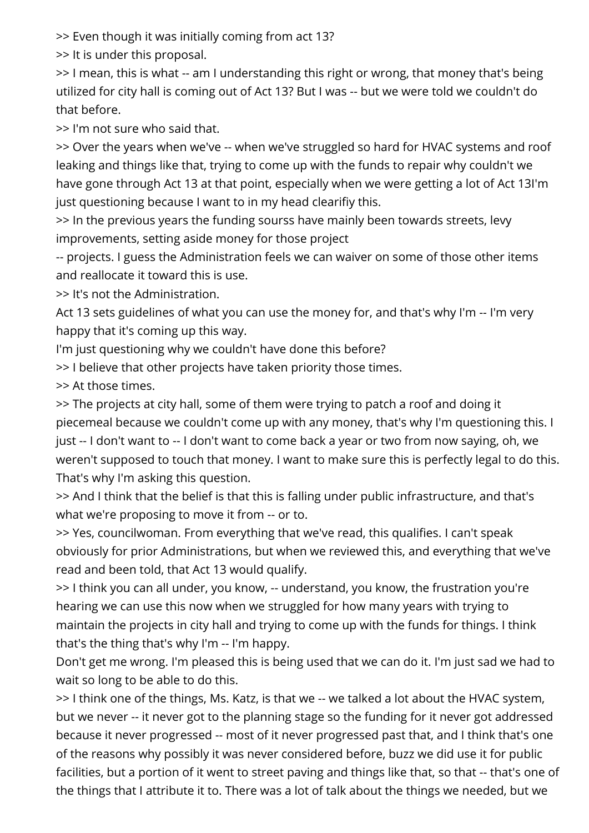>> Even though it was initially coming from act 13?

>> It is under this proposal.

>> I mean, this is what -- am I understanding this right or wrong, that money that's being utilized for city hall is coming out of Act 13? But I was -- but we were told we couldn't do that before.

>> I'm not sure who said that.

>> Over the years when we've -- when we've struggled so hard for HVAC systems and roof leaking and things like that, trying to come up with the funds to repair why couldn't we have gone through Act 13 at that point, especially when we were getting a lot of Act 13I'm just questioning because I want to in my head clearifiy this.

>> In the previous years the funding sourss have mainly been towards streets, levy improvements, setting aside money for those project

-- projects. I guess the Administration feels we can waiver on some of those other items and reallocate it toward this is use.

>> It's not the Administration.

Act 13 sets guidelines of what you can use the money for, and that's why I'm -- I'm very happy that it's coming up this way.

I'm just questioning why we couldn't have done this before?

>> I believe that other projects have taken priority those times.

>> At those times.

>> The projects at city hall, some of them were trying to patch a roof and doing it piecemeal because we couldn't come up with any money, that's why I'm questioning this. I just -- I don't want to -- I don't want to come back a year or two from now saying, oh, we weren't supposed to touch that money. I want to make sure this is perfectly legal to do this. That's why I'm asking this question.

>> And I think that the belief is that this is falling under public infrastructure, and that's what we're proposing to move it from -- or to.

>> Yes, councilwoman. From everything that we've read, this qualifies. I can't speak obviously for prior Administrations, but when we reviewed this, and everything that we've read and been told, that Act 13 would qualify.

>> I think you can all under, you know, -- understand, you know, the frustration you're hearing we can use this now when we struggled for how many years with trying to maintain the projects in city hall and trying to come up with the funds for things. I think that's the thing that's why I'm -- I'm happy.

Don't get me wrong. I'm pleased this is being used that we can do it. I'm just sad we had to wait so long to be able to do this.

>> I think one of the things, Ms. Katz, is that we -- we talked a lot about the HVAC system, but we never -- it never got to the planning stage so the funding for it never got addressed because it never progressed -- most of it never progressed past that, and I think that's one of the reasons why possibly it was never considered before, buzz we did use it for public facilities, but a portion of it went to street paving and things like that, so that -- that's one of the things that I attribute it to. There was a lot of talk about the things we needed, but we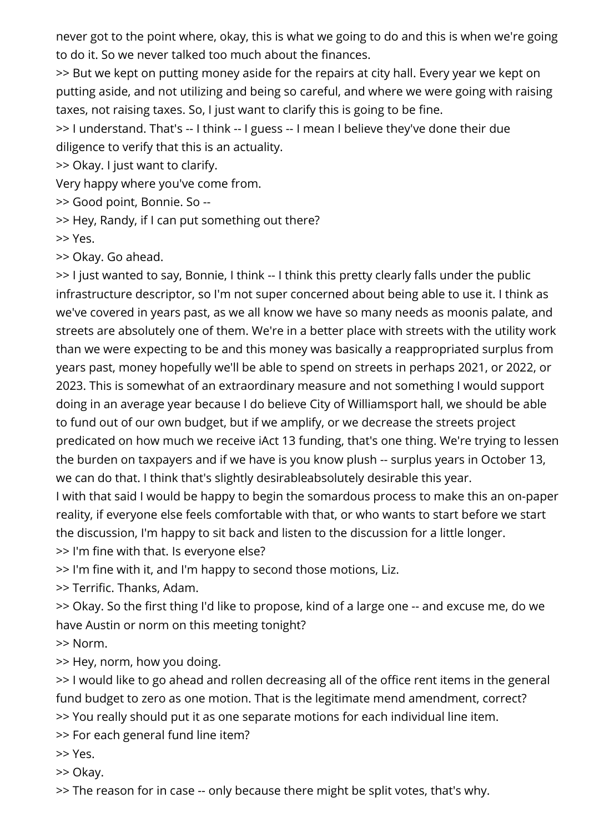never got to the point where, okay, this is what we going to do and this is when we're going to do it. So we never talked too much about the finances.

>> But we kept on putting money aside for the repairs at city hall. Every year we kept on putting aside, and not utilizing and being so careful, and where we were going with raising taxes, not raising taxes. So, I just want to clarify this is going to be fine.

>> I understand. That's -- I think -- I guess -- I mean I believe they've done their due diligence to verify that this is an actuality.

>> Okay. I just want to clarify.

Very happy where you've come from.

>> Good point, Bonnie. So --

>> Hey, Randy, if I can put something out there?

>> Yes.

>> Okay. Go ahead.

>> I just wanted to say, Bonnie, I think -- I think this pretty clearly falls under the public infrastructure descriptor, so I'm not super concerned about being able to use it. I think as we've covered in years past, as we all know we have so many needs as moonis palate, and streets are absolutely one of them. We're in a better place with streets with the utility work than we were expecting to be and this money was basically a reappropriated surplus from years past, money hopefully we'll be able to spend on streets in perhaps 2021, or 2022, or 2023. This is somewhat of an extraordinary measure and not something I would support doing in an average year because I do believe City of Williamsport hall, we should be able to fund out of our own budget, but if we amplify, or we decrease the streets project predicated on how much we receive iAct 13 funding, that's one thing. We're trying to lessen the burden on taxpayers and if we have is you know plush -- surplus years in October 13, we can do that. I think that's slightly desirableabsolutely desirable this year.

I with that said I would be happy to begin the somardous process to make this an on-paper reality, if everyone else feels comfortable with that, or who wants to start before we start the discussion, I'm happy to sit back and listen to the discussion for a little longer.

>> I'm fine with that. Is everyone else?

>> I'm fine with it, and I'm happy to second those motions, Liz.

>> Terrific. Thanks, Adam.

>> Okay. So the first thing I'd like to propose, kind of a large one -- and excuse me, do we have Austin or norm on this meeting tonight?

>> Norm.

>> Hey, norm, how you doing.

>> I would like to go ahead and rollen decreasing all of the office rent items in the general fund budget to zero as one motion. That is the legitimate mend amendment, correct? >> You really should put it as one separate motions for each individual line item.

>> For each general fund line item?

>> Yes.

>> Okay.

>> The reason for in case -- only because there might be split votes, that's why.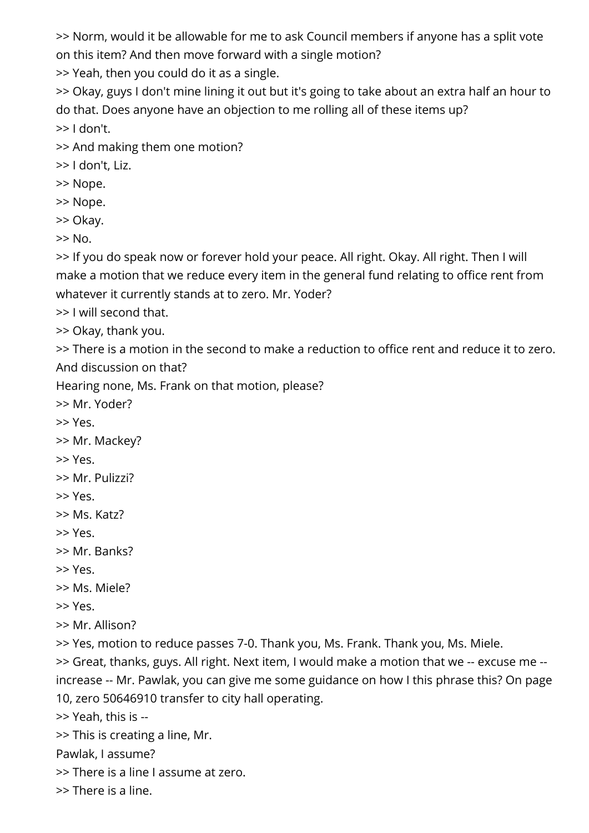>> Norm, would it be allowable for me to ask Council members if anyone has a split vote on this item? And then move forward with a single motion?

>> Yeah, then you could do it as a single.

>> Okay, guys I don't mine lining it out but it's going to take about an extra half an hour to do that. Does anyone have an objection to me rolling all of these items up? >> I don't.

>> And making them one motion?

>> I don't, Liz.

>> Nope.

>> Nope.

>> Okay.

>> No.

>> If you do speak now or forever hold your peace. All right. Okay. All right. Then I will make a motion that we reduce every item in the general fund relating to office rent from whatever it currently stands at to zero. Mr. Yoder?

>> I will second that.

>> Okay, thank you.

>> There is a motion in the second to make a reduction to office rent and reduce it to zero. And discussion on that?

Hearing none, Ms. Frank on that motion, please?

>> Mr. Yoder?

>> Yes.

>> Mr. Mackey?

>> Yes.

>> Mr. Pulizzi?

>> Yes.

>> Ms. Katz?

>> Yes.

>> Mr. Banks?

>> Yes.

>> Ms. Miele?

>> Yes.

>> Mr. Allison?

>> Yes, motion to reduce passes 7-0. Thank you, Ms. Frank. Thank you, Ms. Miele.

>> Great, thanks, guys. All right. Next item, I would make a motion that we -- excuse me - increase -- Mr. Pawlak, you can give me some guidance on how I this phrase this? On page 10, zero 50646910 transfer to city hall operating.

>> Yeah, this is --

>> This is creating a line, Mr.

Pawlak, I assume?

>> There is a line I assume at zero.

>> There is a line.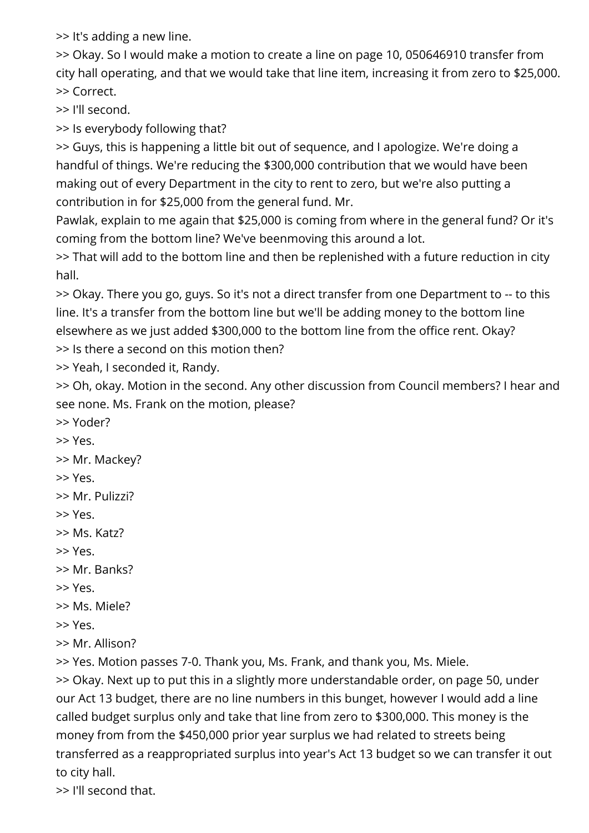>> It's adding a new line.

>> Okay. So I would make a motion to create a line on page 10, 050646910 transfer from city hall operating, and that we would take that line item, increasing it from zero to \$25,000. >> Correct.

>> I'll second.

>> Is everybody following that?

>> Guys, this is happening a little bit out of sequence, and I apologize. We're doing a handful of things. We're reducing the \$300,000 contribution that we would have been making out of every Department in the city to rent to zero, but we're also putting a contribution in for \$25,000 from the general fund. Mr.

Pawlak, explain to me again that \$25,000 is coming from where in the general fund? Or it's coming from the bottom line? We've beenmoving this around a lot.

>> That will add to the bottom line and then be replenished with a future reduction in city hall.

>> Okay. There you go, guys. So it's not a direct transfer from one Department to -- to this line. It's a transfer from the bottom line but we'll be adding money to the bottom line elsewhere as we just added \$300,000 to the bottom line from the office rent. Okay?

>> Is there a second on this motion then?

>> Yeah, I seconded it, Randy.

>> Oh, okay. Motion in the second. Any other discussion from Council members? I hear and see none. Ms. Frank on the motion, please?

- >> Yoder?
- >> Yes.
- >> Mr. Mackey?
- >> Yes.
- >> Mr. Pulizzi?
- >> Yes.
- >> Ms. Katz?
- >> Yes.
- >> Mr. Banks?
- >> Yes.
- >> Ms. Miele?
- >> Yes.
- >> Mr. Allison?

>> Yes. Motion passes 7-0. Thank you, Ms. Frank, and thank you, Ms. Miele.

>> Okay. Next up to put this in a slightly more understandable order, on page 50, under our Act 13 budget, there are no line numbers in this bunget, however I would add a line called budget surplus only and take that line from zero to \$300,000. This money is the money from from the \$450,000 prior year surplus we had related to streets being transferred as a reappropriated surplus into year's Act 13 budget so we can transfer it out to city hall.

>> I'll second that.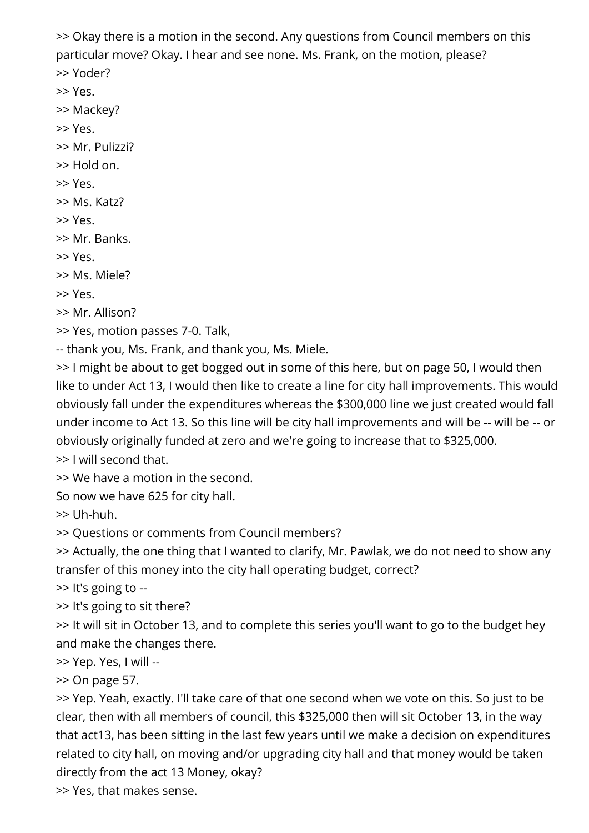>> Okay there is a motion in the second. Any questions from Council members on this particular move? Okay. I hear and see none. Ms. Frank, on the motion, please?

>> Yoder?

>> Yes.

>> Mackey?

>> Yes.

>> Mr. Pulizzi?

>> Hold on.

>> Yes.

>> Ms. Katz?

>> Yes.

>> Mr. Banks.

>> Yes.

>> Ms. Miele?

>> Yes.

>> Mr. Allison?

>> Yes, motion passes 7-0. Talk,

-- thank you, Ms. Frank, and thank you, Ms. Miele.

>> I might be about to get bogged out in some of this here, but on page 50, I would then like to under Act 13, I would then like to create a line for city hall improvements. This would obviously fall under the expenditures whereas the \$300,000 line we just created would fall under income to Act 13. So this line will be city hall improvements and will be -- will be -- or obviously originally funded at zero and we're going to increase that to \$325,000.

>> I will second that.

>> We have a motion in the second.

So now we have 625 for city hall.

>> Uh-huh.

>> Questions or comments from Council members?

>> Actually, the one thing that I wanted to clarify, Mr. Pawlak, we do not need to show any transfer of this money into the city hall operating budget, correct?

>> It's going to --

>> It's going to sit there?

>> It will sit in October 13, and to complete this series you'll want to go to the budget hey and make the changes there.

>> Yep. Yes, I will --

>> On page 57.

>> Yep. Yeah, exactly. I'll take care of that one second when we vote on this. So just to be clear, then with all members of council, this \$325,000 then will sit October 13, in the way that act13, has been sitting in the last few years until we make a decision on expenditures related to city hall, on moving and/or upgrading city hall and that money would be taken directly from the act 13 Money, okay?

>> Yes, that makes sense.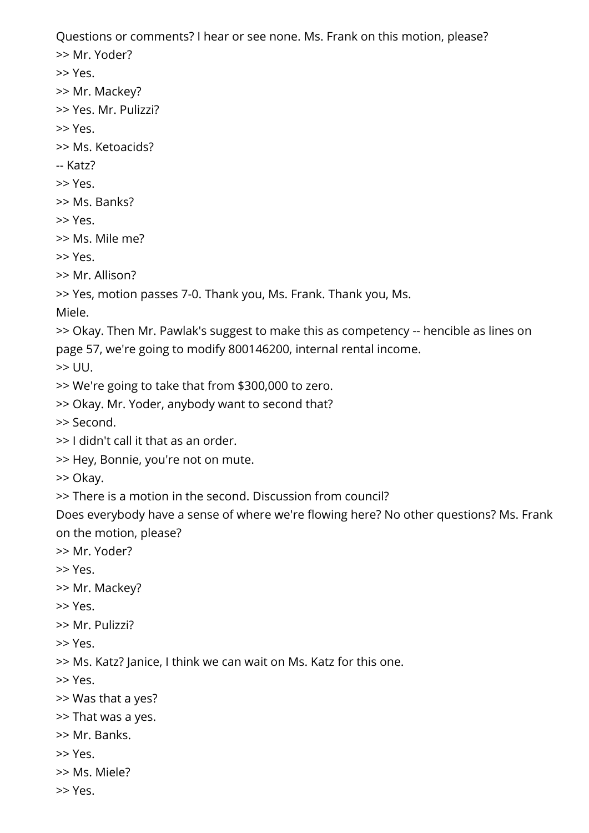Questions or comments? I hear or see none. Ms. Frank on this motion, please?

>> Mr. Yoder?

>> Yes.

- >> Mr. Mackey?
- >> Yes. Mr. Pulizzi?
- >> Yes.
- >> Ms. Ketoacids?
- -- Katz?
- >> Yes.
- >> Ms. Banks?
- >> Yes.
- >> Ms. Mile me?

>> Yes.

- >> Mr. Allison?
- >> Yes, motion passes 7-0. Thank you, Ms. Frank. Thank you, Ms.

Miele.

>> Okay. Then Mr. Pawlak's suggest to make this as competency -- hencible as lines on page 57, we're going to modify 800146200, internal rental income.

 $\gg$  UU.

- >> We're going to take that from \$300,000 to zero.
- >> Okay. Mr. Yoder, anybody want to second that?

>> Second.

- >> I didn't call it that as an order.
- >> Hey, Bonnie, you're not on mute.

>> Okay.

- >> There is a motion in the second. Discussion from council?
- Does everybody have a sense of where we're flowing here? No other questions? Ms. Frank on the motion, please?
- >> Mr. Yoder?
- >> Yes.
- >> Mr. Mackey?
- >> Yes.
- >> Mr. Pulizzi?

>> Yes.

>> Ms. Katz? Janice, I think we can wait on Ms. Katz for this one.

>> Yes.

- >> Was that a yes?
- >> That was a yes.
- >> Mr. Banks.
- >> Yes.
- >> Ms. Miele?
- >> Yes.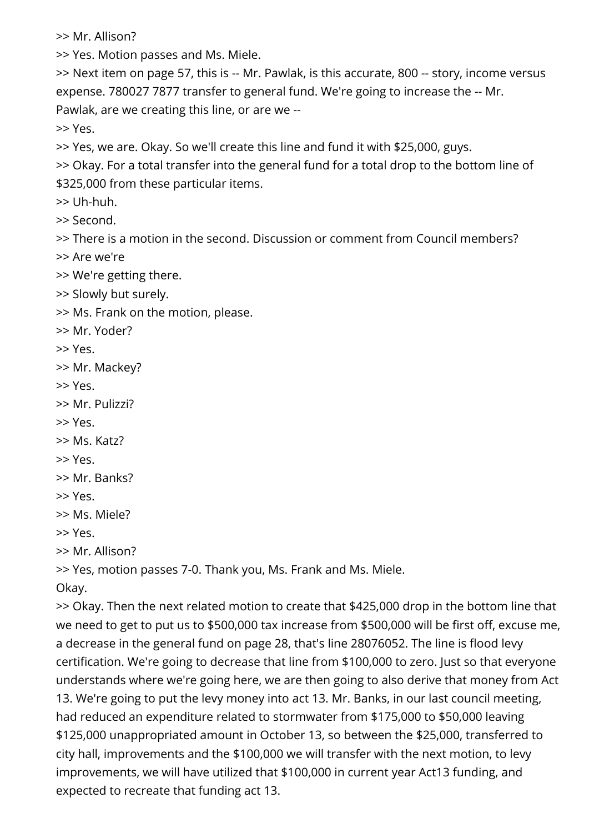>> Mr. Allison?

>> Yes. Motion passes and Ms. Miele.

>> Next item on page 57, this is -- Mr. Pawlak, is this accurate, 800 -- story, income versus expense. 780027 7877 transfer to general fund. We're going to increase the -- Mr. Pawlak, are we creating this line, or are we --

>> Yes.

>> Yes, we are. Okay. So we'll create this line and fund it with \$25,000, guys.

>> Okay. For a total transfer into the general fund for a total drop to the bottom line of \$325,000 from these particular items.

>> Uh-huh.

>> Second.

>> There is a motion in the second. Discussion or comment from Council members?

>> Are we're

>> We're getting there.

>> Slowly but surely.

>> Ms. Frank on the motion, please.

>> Mr. Yoder?

>> Yes.

>> Mr. Mackey?

>> Yes.

>> Mr. Pulizzi?

>> Yes.

>> Ms. Katz?

>> Yes.

>> Mr. Banks?

>> Yes.

>> Ms. Miele?

>> Yes.

>> Mr. Allison?

>> Yes, motion passes 7-0. Thank you, Ms. Frank and Ms. Miele.

Okay.

>> Okay. Then the next related motion to create that \$425,000 drop in the bottom line that we need to get to put us to \$500,000 tax increase from \$500,000 will be first off, excuse me, a decrease in the general fund on page 28, that's line 28076052. The line is flood levy certification. We're going to decrease that line from \$100,000 to zero. Just so that everyone understands where we're going here, we are then going to also derive that money from Act 13. We're going to put the levy money into act 13. Mr. Banks, in our last council meeting, had reduced an expenditure related to stormwater from \$175,000 to \$50,000 leaving \$125,000 unappropriated amount in October 13, so between the \$25,000, transferred to city hall, improvements and the \$100,000 we will transfer with the next motion, to levy improvements, we will have utilized that \$100,000 in current year Act13 funding, and expected to recreate that funding act 13.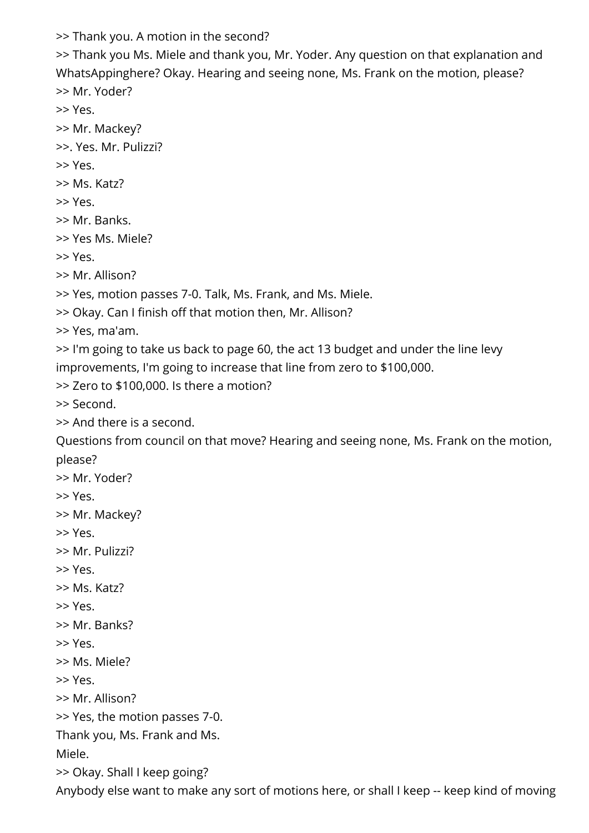>> Thank you. A motion in the second?

>> Thank you Ms. Miele and thank you, Mr. Yoder. Any question on that explanation and WhatsAppinghere? Okay. Hearing and seeing none, Ms. Frank on the motion, please? >> Mr. Yoder?

>> Yes.

>> Mr. Mackey?

>>. Yes. Mr. Pulizzi?

>> Yes.

>> Ms. Katz?

>> Yes.

>> Mr. Banks.

>> Yes Ms. Miele?

>> Yes.

>> Mr. Allison?

>> Yes, motion passes 7-0. Talk, Ms. Frank, and Ms. Miele.

>> Okay. Can I finish off that motion then, Mr. Allison?

>> Yes, ma'am.

>> I'm going to take us back to page 60, the act 13 budget and under the line levy improvements, I'm going to increase that line from zero to \$100,000.

>> Zero to \$100,000. Is there a motion?

>> Second.

>> And there is a second.

Questions from council on that move? Hearing and seeing none, Ms. Frank on the motion, please?

>> Mr. Yoder?

>> Yes.

>> Mr. Mackey?

>> Yes.

>> Mr. Pulizzi?

>> Yes.

>> Ms. Katz?

>> Yes.

>> Mr. Banks?

>> Yes.

>> Ms. Miele?

>> Yes.

>> Mr. Allison?

>> Yes, the motion passes 7-0.

Thank you, Ms. Frank and Ms.

Miele.

>> Okay. Shall I keep going?

Anybody else want to make any sort of motions here, or shall I keep -- keep kind of moving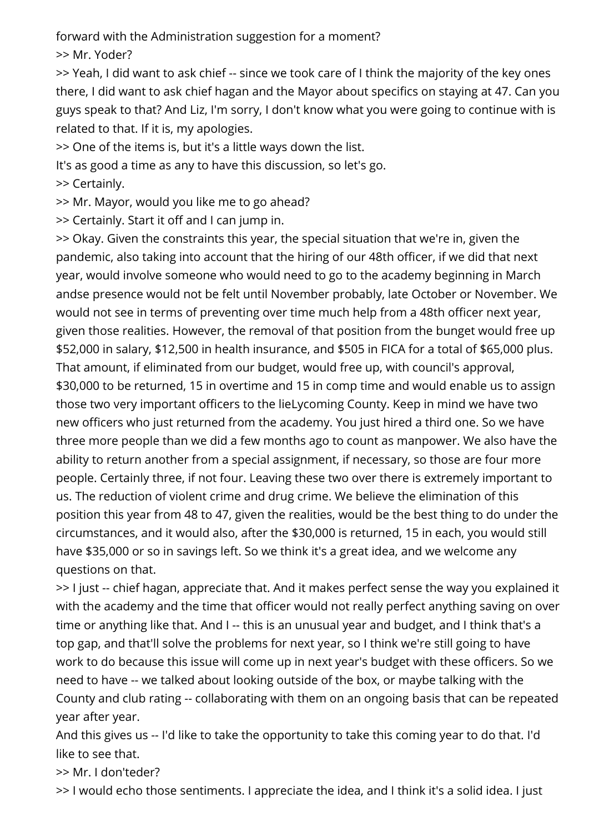forward with the Administration suggestion for a moment?

>> Mr. Yoder?

>> Yeah, I did want to ask chief -- since we took care of I think the majority of the key ones there, I did want to ask chief hagan and the Mayor about specifics on staying at 47. Can you guys speak to that? And Liz, I'm sorry, I don't know what you were going to continue with is related to that. If it is, my apologies.

>> One of the items is, but it's a little ways down the list.

It's as good a time as any to have this discussion, so let's go.

>> Certainly.

>> Mr. Mayor, would you like me to go ahead?

>> Certainly. Start it off and I can jump in.

>> Okay. Given the constraints this year, the special situation that we're in, given the pandemic, also taking into account that the hiring of our 48th officer, if we did that next year, would involve someone who would need to go to the academy beginning in March andse presence would not be felt until November probably, late October or November. We would not see in terms of preventing over time much help from a 48th officer next year, given those realities. However, the removal of that position from the bunget would free up \$52,000 in salary, \$12,500 in health insurance, and \$505 in FICA for a total of \$65,000 plus. That amount, if eliminated from our budget, would free up, with council's approval, \$30,000 to be returned, 15 in overtime and 15 in comp time and would enable us to assign those two very important officers to the lieLycoming County. Keep in mind we have two new officers who just returned from the academy. You just hired a third one. So we have three more people than we did a few months ago to count as manpower. We also have the ability to return another from a special assignment, if necessary, so those are four more people. Certainly three, if not four. Leaving these two over there is extremely important to us. The reduction of violent crime and drug crime. We believe the elimination of this position this year from 48 to 47, given the realities, would be the best thing to do under the circumstances, and it would also, after the \$30,000 is returned, 15 in each, you would still have \$35,000 or so in savings left. So we think it's a great idea, and we welcome any questions on that.

>> I just -- chief hagan, appreciate that. And it makes perfect sense the way you explained it with the academy and the time that officer would not really perfect anything saving on over time or anything like that. And I -- this is an unusual year and budget, and I think that's a top gap, and that'll solve the problems for next year, so I think we're still going to have work to do because this issue will come up in next year's budget with these officers. So we need to have -- we talked about looking outside of the box, or maybe talking with the County and club rating -- collaborating with them on an ongoing basis that can be repeated year after year.

And this gives us -- I'd like to take the opportunity to take this coming year to do that. I'd like to see that.

>> Mr. I don'teder?

>> I would echo those sentiments. I appreciate the idea, and I think it's a solid idea. I just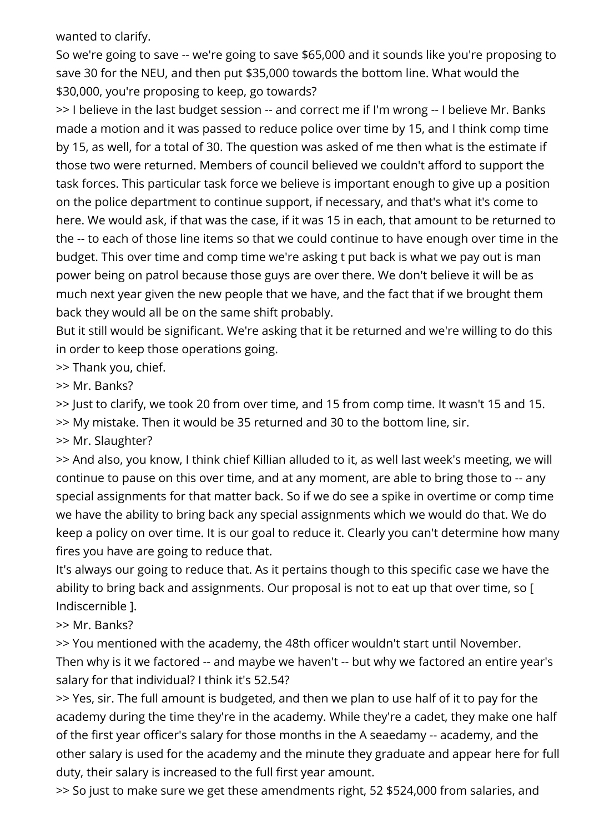wanted to clarify.

So we're going to save -- we're going to save \$65,000 and it sounds like you're proposing to save 30 for the NEU, and then put \$35,000 towards the bottom line. What would the \$30,000, you're proposing to keep, go towards?

>> I believe in the last budget session -- and correct me if I'm wrong -- I believe Mr. Banks made a motion and it was passed to reduce police over time by 15, and I think comp time by 15, as well, for a total of 30. The question was asked of me then what is the estimate if those two were returned. Members of council believed we couldn't afford to support the task forces. This particular task force we believe is important enough to give up a position on the police department to continue support, if necessary, and that's what it's come to here. We would ask, if that was the case, if it was 15 in each, that amount to be returned to the -- to each of those line items so that we could continue to have enough over time in the budget. This over time and comp time we're asking t put back is what we pay out is man power being on patrol because those guys are over there. We don't believe it will be as much next year given the new people that we have, and the fact that if we brought them back they would all be on the same shift probably.

But it still would be significant. We're asking that it be returned and we're willing to do this in order to keep those operations going.

>> Thank you, chief.

>> Mr. Banks?

>> Just to clarify, we took 20 from over time, and 15 from comp time. It wasn't 15 and 15.

>> My mistake. Then it would be 35 returned and 30 to the bottom line, sir.

>> Mr. Slaughter?

>> And also, you know, I think chief Killian alluded to it, as well last week's meeting, we will continue to pause on this over time, and at any moment, are able to bring those to -- any special assignments for that matter back. So if we do see a spike in overtime or comp time we have the ability to bring back any special assignments which we would do that. We do keep a policy on over time. It is our goal to reduce it. Clearly you can't determine how many fires you have are going to reduce that.

It's always our going to reduce that. As it pertains though to this specific case we have the ability to bring back and assignments. Our proposal is not to eat up that over time, so [ Indiscernible ].

>> Mr. Banks?

>> You mentioned with the academy, the 48th officer wouldn't start until November. Then why is it we factored -- and maybe we haven't -- but why we factored an entire year's salary for that individual? I think it's 52.54?

>> Yes, sir. The full amount is budgeted, and then we plan to use half of it to pay for the academy during the time they're in the academy. While they're a cadet, they make one half of the first year officer's salary for those months in the A seaedamy -- academy, and the other salary is used for the academy and the minute they graduate and appear here for full duty, their salary is increased to the full first year amount.

>> So just to make sure we get these amendments right, 52 \$524,000 from salaries, and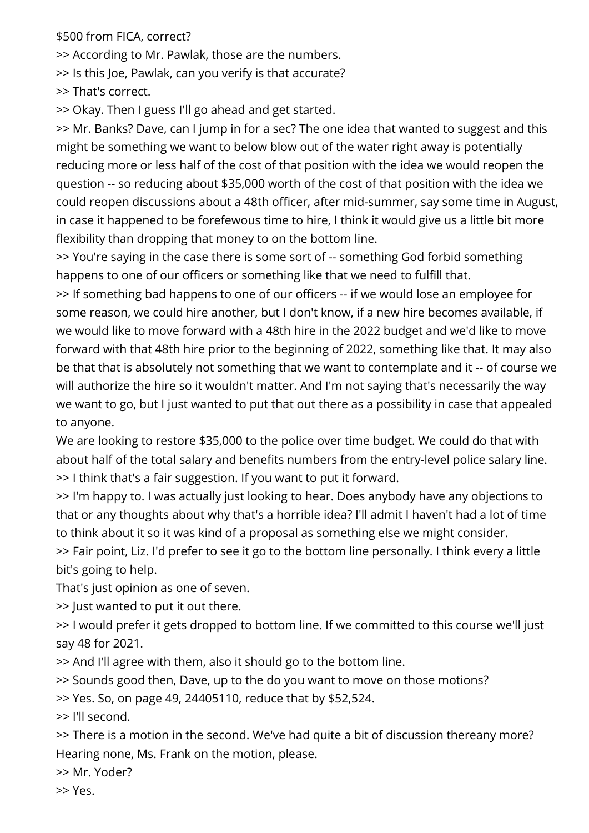\$500 from FICA, correct?

>> According to Mr. Pawlak, those are the numbers.

>> Is this Joe, Pawlak, can you verify is that accurate?

>> That's correct.

>> Okay. Then I guess I'll go ahead and get started.

>> Mr. Banks? Dave, can I jump in for a sec? The one idea that wanted to suggest and this might be something we want to below blow out of the water right away is potentially reducing more or less half of the cost of that position with the idea we would reopen the question -- so reducing about \$35,000 worth of the cost of that position with the idea we could reopen discussions about a 48th officer, after mid-summer, say some time in August, in case it happened to be forefewous time to hire, I think it would give us a little bit more flexibility than dropping that money to on the bottom line.

>> You're saying in the case there is some sort of -- something God forbid something happens to one of our officers or something like that we need to fulfill that.

>> If something bad happens to one of our officers -- if we would lose an employee for some reason, we could hire another, but I don't know, if a new hire becomes available, if we would like to move forward with a 48th hire in the 2022 budget and we'd like to move forward with that 48th hire prior to the beginning of 2022, something like that. It may also be that that is absolutely not something that we want to contemplate and it -- of course we will authorize the hire so it wouldn't matter. And I'm not saying that's necessarily the way we want to go, but I just wanted to put that out there as a possibility in case that appealed to anyone.

We are looking to restore \$35,000 to the police over time budget. We could do that with about half of the total salary and benefits numbers from the entry-level police salary line. >> I think that's a fair suggestion. If you want to put it forward.

>> I'm happy to. I was actually just looking to hear. Does anybody have any objections to that or any thoughts about why that's a horrible idea? I'll admit I haven't had a lot of time to think about it so it was kind of a proposal as something else we might consider.

>> Fair point, Liz. I'd prefer to see it go to the bottom line personally. I think every a little bit's going to help.

That's just opinion as one of seven.

>> Just wanted to put it out there.

>> I would prefer it gets dropped to bottom line. If we committed to this course we'll just say 48 for 2021.

>> And I'll agree with them, also it should go to the bottom line.

>> Sounds good then, Dave, up to the do you want to move on those motions?

>> Yes. So, on page 49, 24405110, reduce that by \$52,524.

>> I'll second.

>> There is a motion in the second. We've had quite a bit of discussion thereany more? Hearing none, Ms. Frank on the motion, please.

>> Mr. Yoder?

>> Yes.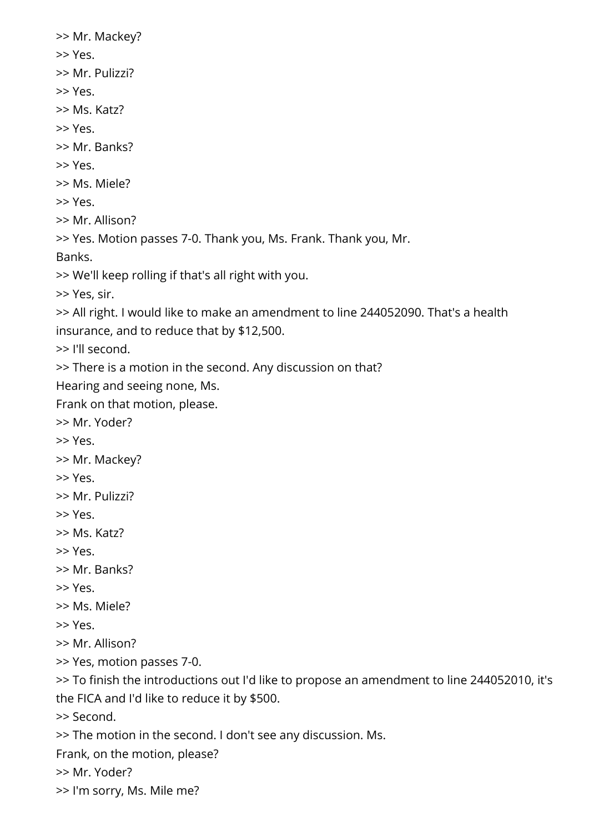>> Mr. Mackey? >> Yes. >> Mr. Pulizzi? >> Yes. >> Ms. Katz? >> Yes. >> Mr. Banks? >> Yes. >> Ms. Miele? >> Yes. >> Mr. Allison? >> Yes. Motion passes 7-0. Thank you, Ms. Frank. Thank you, Mr. Banks. >> We'll keep rolling if that's all right with you. >> Yes, sir. >> All right. I would like to make an amendment to line 244052090. That's a health insurance, and to reduce that by \$12,500. >> I'll second. >> There is a motion in the second. Any discussion on that? Hearing and seeing none, Ms. Frank on that motion, please. >> Mr. Yoder? >> Yes. >> Mr. Mackey? >> Yes. >> Mr. Pulizzi? >> Yes. >> Ms. Katz? >> Yes. >> Mr. Banks? >> Yes. >> Ms. Miele? >> Yes. >> Mr. Allison? >> Yes, motion passes 7-0. >> To finish the introductions out I'd like to propose an amendment to line 244052010, it's the FICA and I'd like to reduce it by \$500. >> Second. >> The motion in the second. I don't see any discussion. Ms. Frank, on the motion, please? >> Mr. Yoder? >> I'm sorry, Ms. Mile me?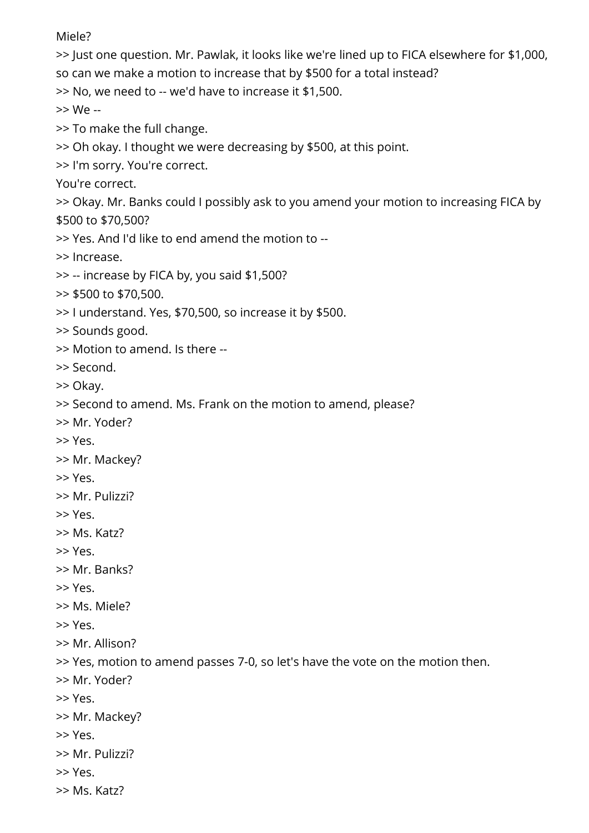Miele?

>> Just one question. Mr. Pawlak, it looks like we're lined up to FICA elsewhere for \$1,000, so can we make a motion to increase that by \$500 for a total instead? >> No, we need to -- we'd have to increase it \$1,500. >> We -- >> To make the full change. >> Oh okay. I thought we were decreasing by \$500, at this point. >> I'm sorry. You're correct. You're correct. >> Okay. Mr. Banks could I possibly ask to you amend your motion to increasing FICA by \$500 to \$70,500? >> Yes. And I'd like to end amend the motion to -- >> Increase. >> -- increase by FICA by, you said \$1,500? >> \$500 to \$70,500. >> I understand. Yes, \$70,500, so increase it by \$500. >> Sounds good. >> Motion to amend. Is there -- >> Second. >> Okay. >> Second to amend. Ms. Frank on the motion to amend, please? >> Mr. Yoder? >> Yes. >> Mr. Mackey? >> Yes. >> Mr. Pulizzi? >> Yes. >> Ms. Katz? >> Yes. >> Mr. Banks? >> Yes. >> Ms. Miele? >> Yes. >> Mr. Allison? >> Yes, motion to amend passes 7-0, so let's have the vote on the motion then. >> Mr. Yoder? >> Yes. >> Mr. Mackey? >> Yes. >> Mr. Pulizzi? >> Yes.

>> Ms. Katz?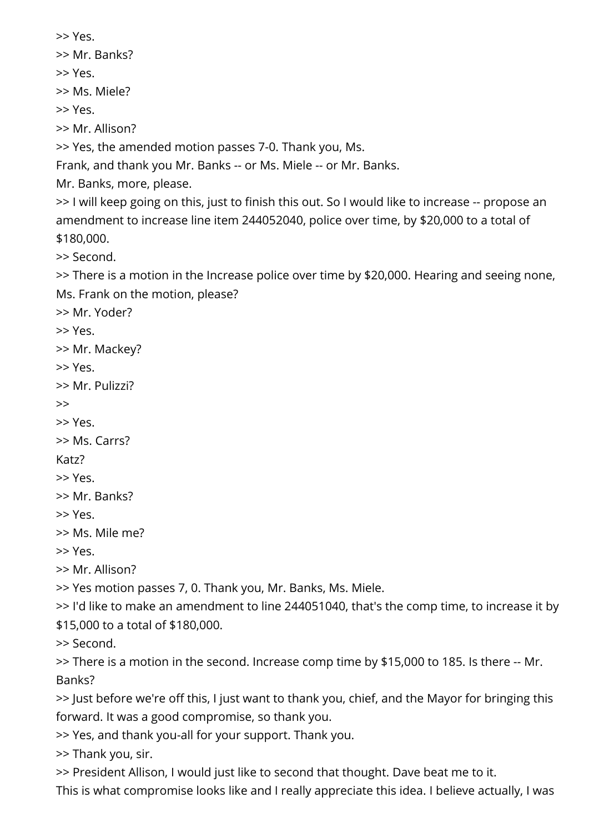>> Yes. >> Mr. Banks?

>> Yes.

>> Ms. Miele?

>> Yes.

>> Mr. Allison?

>> Yes, the amended motion passes 7-0. Thank you, Ms.

Frank, and thank you Mr. Banks -- or Ms. Miele -- or Mr. Banks.

Mr. Banks, more, please.

>> I will keep going on this, just to finish this out. So I would like to increase -- propose an amendment to increase line item 244052040, police over time, by \$20,000 to a total of \$180,000.

>> Second.

>> There is a motion in the Increase police over time by \$20,000. Hearing and seeing none, Ms. Frank on the motion, please?

>> Mr. Yoder?

>> Yes.

>> Mr. Mackey?

>> Yes.

>> Mr. Pulizzi?

>>

>> Yes.

>> Ms. Carrs?

Katz?

>> Yes.

>> Mr. Banks?

>> Yes.

>> Ms. Mile me?

>> Yes.

>> Mr. Allison?

>> Yes motion passes 7, 0. Thank you, Mr. Banks, Ms. Miele.

>> I'd like to make an amendment to line 244051040, that's the comp time, to increase it by \$15,000 to a total of \$180,000.

>> Second.

>> There is a motion in the second. Increase comp time by \$15,000 to 185. Is there -- Mr. Banks?

>> Just before we're off this, I just want to thank you, chief, and the Mayor for bringing this forward. It was a good compromise, so thank you.

>> Yes, and thank you-all for your support. Thank you.

>> Thank you, sir.

>> President Allison, I would just like to second that thought. Dave beat me to it.

This is what compromise looks like and I really appreciate this idea. I believe actually, I was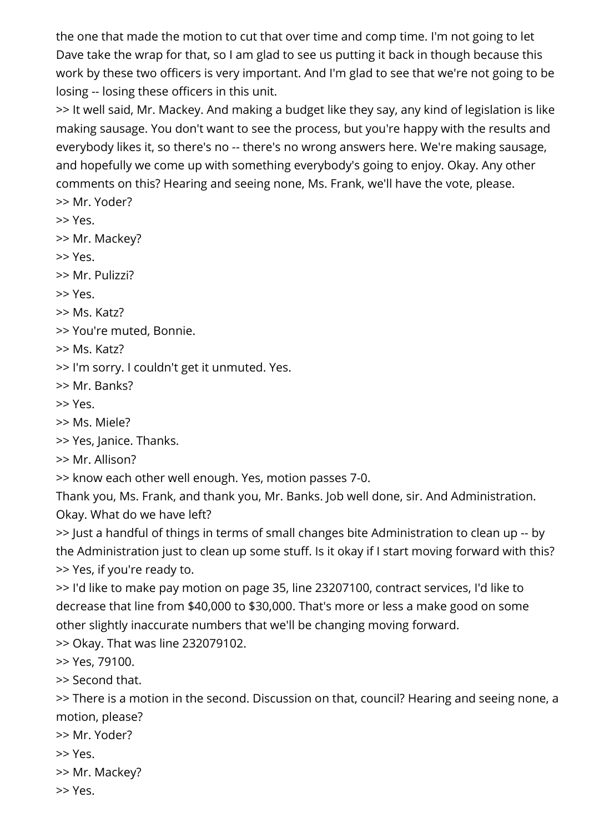the one that made the motion to cut that over time and comp time. I'm not going to let Dave take the wrap for that, so I am glad to see us putting it back in though because this work by these two officers is very important. And I'm glad to see that we're not going to be losing -- losing these officers in this unit.

>> It well said, Mr. Mackey. And making a budget like they say, any kind of legislation is like making sausage. You don't want to see the process, but you're happy with the results and everybody likes it, so there's no -- there's no wrong answers here. We're making sausage, and hopefully we come up with something everybody's going to enjoy. Okay. Any other comments on this? Hearing and seeing none, Ms. Frank, we'll have the vote, please. >> Mr. Yoder?

>> Yes.

>> Mr. Mackey?

>> Yes.

>> Mr. Pulizzi?

>> Yes.

>> Ms. Katz?

>> You're muted, Bonnie.

>> Ms. Katz?

>> I'm sorry. I couldn't get it unmuted. Yes.

>> Mr. Banks?

>> Yes.

>> Ms. Miele?

>> Yes, Janice. Thanks.

>> Mr. Allison?

>> know each other well enough. Yes, motion passes 7-0.

Thank you, Ms. Frank, and thank you, Mr. Banks. Job well done, sir. And Administration. Okay. What do we have left?

>> Just a handful of things in terms of small changes bite Administration to clean up -- by the Administration just to clean up some stuff. Is it okay if I start moving forward with this? >> Yes, if you're ready to.

>> I'd like to make pay motion on page 35, line 23207100, contract services, I'd like to decrease that line from \$40,000 to \$30,000. That's more or less a make good on some other slightly inaccurate numbers that we'll be changing moving forward.

>> Okay. That was line 232079102.

>> Yes, 79100.

>> Second that.

>> There is a motion in the second. Discussion on that, council? Hearing and seeing none, a motion, please?

>> Mr. Yoder?

>> Yes.

>> Mr. Mackey?

>> Yes.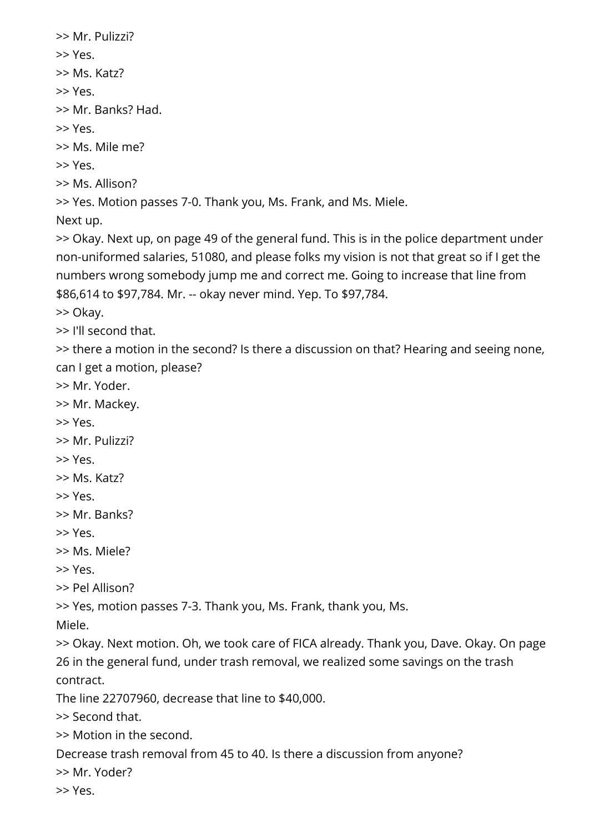```
>> Mr. Pulizzi? 
>> Yes. 
>> Ms. Katz? 
>> Yes. 
>> Mr. Banks? Had. 
>> Yes. 
>> Ms. Mile me? 
>> Yes. 
>> Ms. Allison? 
>> Yes. Motion passes 7-0. Thank you, Ms. Frank, and Ms. Miele. 
Next up.
```
>> Okay. Next up, on page 49 of the general fund. This is in the police department under non-uniformed salaries, 51080, and please folks my vision is not that great so if I get the numbers wrong somebody jump me and correct me. Going to increase that line from \$86,614 to \$97,784. Mr. -- okay never mind. Yep. To \$97,784.

>> Okay.

>> I'll second that.

>> there a motion in the second? Is there a discussion on that? Hearing and seeing none, can I get a motion, please?

>> Mr. Yoder.

>> Mr. Mackey.

>> Yes.

>> Mr. Pulizzi?

>> Yes.

>> Ms. Katz?

>> Yes.

>> Mr. Banks?

>> Yes.

>> Ms. Miele?

>> Yes.

>> Pel Allison?

>> Yes, motion passes 7-3. Thank you, Ms. Frank, thank you, Ms.

Miele.

>> Okay. Next motion. Oh, we took care of FICA already. Thank you, Dave. Okay. On page 26 in the general fund, under trash removal, we realized some savings on the trash contract.

The line 22707960, decrease that line to \$40,000.

>> Second that.

>> Motion in the second.

Decrease trash removal from 45 to 40. Is there a discussion from anyone?

>> Mr. Yoder?

>> Yes.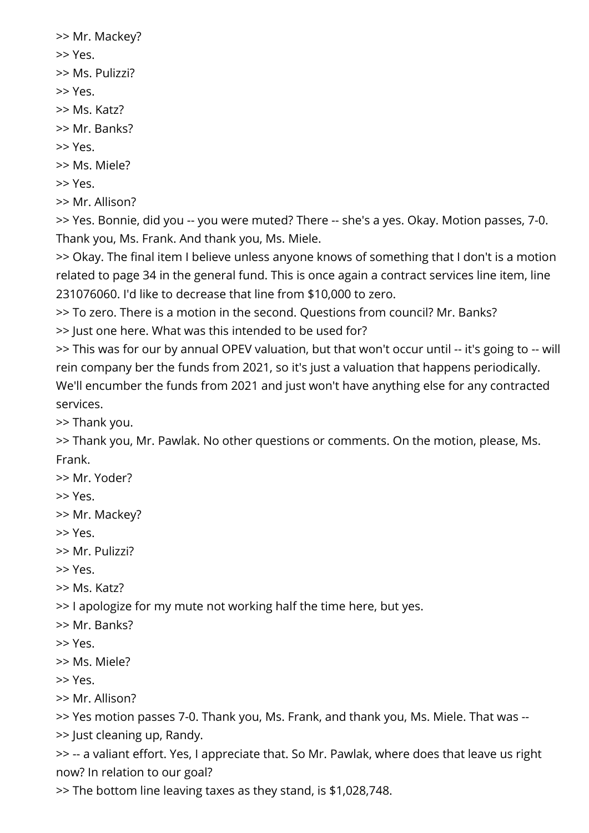>> Mr. Mackey? >> Yes. >> Ms. Pulizzi? >> Yes. >> Ms. Katz? >> Mr. Banks? >> Yes. >> Ms. Miele? >> Yes. >> Mr. Allison?

>> Yes. Bonnie, did you -- you were muted? There -- she's a yes. Okay. Motion passes, 7-0. Thank you, Ms. Frank. And thank you, Ms. Miele.

>> Okay. The final item I believe unless anyone knows of something that I don't is a motion related to page 34 in the general fund. This is once again a contract services line item, line 231076060. I'd like to decrease that line from \$10,000 to zero.

>> To zero. There is a motion in the second. Questions from council? Mr. Banks?

>> Just one here. What was this intended to be used for?

>> This was for our by annual OPEV valuation, but that won't occur until -- it's going to -- will rein company ber the funds from 2021, so it's just a valuation that happens periodically. We'll encumber the funds from 2021 and just won't have anything else for any contracted services.

>> Thank you.

>> Thank you, Mr. Pawlak. No other questions or comments. On the motion, please, Ms. Frank.

>> Mr. Yoder?

>> Yes.

>> Mr. Mackey?

>> Yes.

>> Mr. Pulizzi?

>> Yes.

>> Ms. Katz?

>> I apologize for my mute not working half the time here, but yes.

>> Mr. Banks?

>> Yes.

>> Ms. Miele?

>> Yes.

>> Mr. Allison?

>> Yes motion passes 7-0. Thank you, Ms. Frank, and thank you, Ms. Miele. That was --

>> Just cleaning up, Randy.

>> -- a valiant effort. Yes, I appreciate that. So Mr. Pawlak, where does that leave us right now? In relation to our goal?

>> The bottom line leaving taxes as they stand, is \$1,028,748.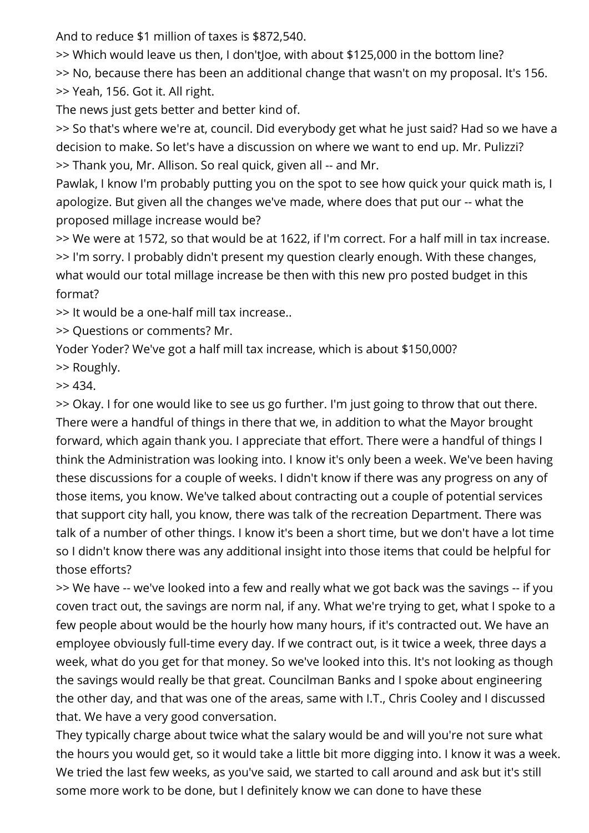And to reduce \$1 million of taxes is \$872,540.

>> Which would leave us then, I don'tJoe, with about \$125,000 in the bottom line?

>> No, because there has been an additional change that wasn't on my proposal. It's 156. >> Yeah, 156. Got it. All right.

The news just gets better and better kind of.

>> So that's where we're at, council. Did everybody get what he just said? Had so we have a decision to make. So let's have a discussion on where we want to end up. Mr. Pulizzi? >> Thank you, Mr. Allison. So real quick, given all -- and Mr.

Pawlak, I know I'm probably putting you on the spot to see how quick your quick math is, I apologize. But given all the changes we've made, where does that put our -- what the proposed millage increase would be?

>> We were at 1572, so that would be at 1622, if I'm correct. For a half mill in tax increase. >> I'm sorry. I probably didn't present my question clearly enough. With these changes, what would our total millage increase be then with this new pro posted budget in this format?

>> It would be a one-half mill tax increase..

>> Questions or comments? Mr.

Yoder Yoder? We've got a half mill tax increase, which is about \$150,000?

>> Roughly.

 $>> 434.$ 

>> Okay. I for one would like to see us go further. I'm just going to throw that out there. There were a handful of things in there that we, in addition to what the Mayor brought forward, which again thank you. I appreciate that effort. There were a handful of things I think the Administration was looking into. I know it's only been a week. We've been having these discussions for a couple of weeks. I didn't know if there was any progress on any of those items, you know. We've talked about contracting out a couple of potential services that support city hall, you know, there was talk of the recreation Department. There was talk of a number of other things. I know it's been a short time, but we don't have a lot time so I didn't know there was any additional insight into those items that could be helpful for those efforts?

>> We have -- we've looked into a few and really what we got back was the savings -- if you coven tract out, the savings are norm nal, if any. What we're trying to get, what I spoke to a few people about would be the hourly how many hours, if it's contracted out. We have an employee obviously full-time every day. If we contract out, is it twice a week, three days a week, what do you get for that money. So we've looked into this. It's not looking as though the savings would really be that great. Councilman Banks and I spoke about engineering the other day, and that was one of the areas, same with I.T., Chris Cooley and I discussed that. We have a very good conversation.

They typically charge about twice what the salary would be and will you're not sure what the hours you would get, so it would take a little bit more digging into. I know it was a week. We tried the last few weeks, as you've said, we started to call around and ask but it's still some more work to be done, but I definitely know we can done to have these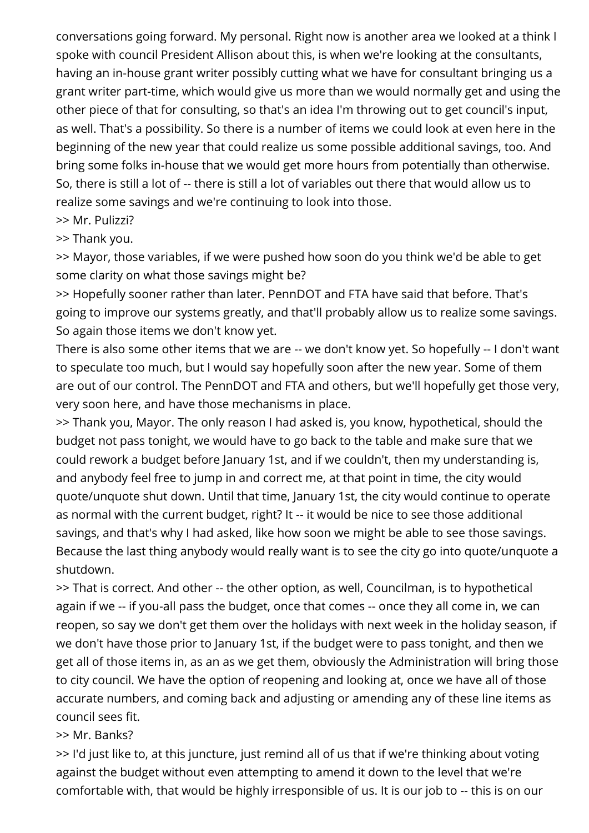conversations going forward. My personal. Right now is another area we looked at a think I spoke with council President Allison about this, is when we're looking at the consultants, having an in-house grant writer possibly cutting what we have for consultant bringing us a grant writer part-time, which would give us more than we would normally get and using the other piece of that for consulting, so that's an idea I'm throwing out to get council's input, as well. That's a possibility. So there is a number of items we could look at even here in the beginning of the new year that could realize us some possible additional savings, too. And bring some folks in-house that we would get more hours from potentially than otherwise. So, there is still a lot of -- there is still a lot of variables out there that would allow us to realize some savings and we're continuing to look into those.

>> Mr. Pulizzi?

#### >> Thank you.

>> Mayor, those variables, if we were pushed how soon do you think we'd be able to get some clarity on what those savings might be?

>> Hopefully sooner rather than later. PennDOT and FTA have said that before. That's going to improve our systems greatly, and that'll probably allow us to realize some savings. So again those items we don't know yet.

There is also some other items that we are -- we don't know yet. So hopefully -- I don't want to speculate too much, but I would say hopefully soon after the new year. Some of them are out of our control. The PennDOT and FTA and others, but we'll hopefully get those very, very soon here, and have those mechanisms in place.

>> Thank you, Mayor. The only reason I had asked is, you know, hypothetical, should the budget not pass tonight, we would have to go back to the table and make sure that we could rework a budget before January 1st, and if we couldn't, then my understanding is, and anybody feel free to jump in and correct me, at that point in time, the city would quote/unquote shut down. Until that time, January 1st, the city would continue to operate as normal with the current budget, right? It -- it would be nice to see those additional savings, and that's why I had asked, like how soon we might be able to see those savings. Because the last thing anybody would really want is to see the city go into quote/unquote a shutdown.

>> That is correct. And other -- the other option, as well, Councilman, is to hypothetical again if we -- if you-all pass the budget, once that comes -- once they all come in, we can reopen, so say we don't get them over the holidays with next week in the holiday season, if we don't have those prior to January 1st, if the budget were to pass tonight, and then we get all of those items in, as an as we get them, obviously the Administration will bring those to city council. We have the option of reopening and looking at, once we have all of those accurate numbers, and coming back and adjusting or amending any of these line items as council sees fit.

#### >> Mr. Banks?

>> I'd just like to, at this juncture, just remind all of us that if we're thinking about voting against the budget without even attempting to amend it down to the level that we're comfortable with, that would be highly irresponsible of us. It is our job to -- this is on our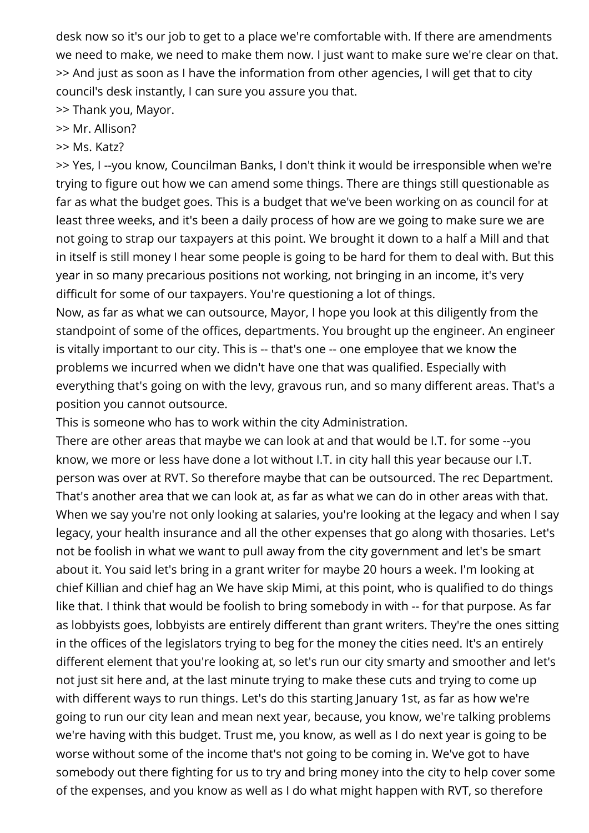desk now so it's our job to get to a place we're comfortable with. If there are amendments we need to make, we need to make them now. I just want to make sure we're clear on that. >> And just as soon as I have the information from other agencies, I will get that to city council's desk instantly, I can sure you assure you that.

>> Thank you, Mayor.

### >> Mr. Allison?

>> Ms. Katz?

>> Yes, I --you know, Councilman Banks, I don't think it would be irresponsible when we're trying to figure out how we can amend some things. There are things still questionable as far as what the budget goes. This is a budget that we've been working on as council for at least three weeks, and it's been a daily process of how are we going to make sure we are not going to strap our taxpayers at this point. We brought it down to a half a Mill and that in itself is still money I hear some people is going to be hard for them to deal with. But this year in so many precarious positions not working, not bringing in an income, it's very difficult for some of our taxpayers. You're questioning a lot of things.

Now, as far as what we can outsource, Mayor, I hope you look at this diligently from the standpoint of some of the offices, departments. You brought up the engineer. An engineer is vitally important to our city. This is -- that's one -- one employee that we know the problems we incurred when we didn't have one that was qualified. Especially with everything that's going on with the levy, gravous run, and so many different areas. That's a position you cannot outsource.

This is someone who has to work within the city Administration.

There are other areas that maybe we can look at and that would be I.T. for some --you know, we more or less have done a lot without I.T. in city hall this year because our I.T. person was over at RVT. So therefore maybe that can be outsourced. The rec Department. That's another area that we can look at, as far as what we can do in other areas with that. When we say you're not only looking at salaries, you're looking at the legacy and when I say legacy, your health insurance and all the other expenses that go along with thosaries. Let's not be foolish in what we want to pull away from the city government and let's be smart about it. You said let's bring in a grant writer for maybe 20 hours a week. I'm looking at chief Killian and chief hag an We have skip Mimi, at this point, who is qualified to do things like that. I think that would be foolish to bring somebody in with -- for that purpose. As far as lobbyists goes, lobbyists are entirely different than grant writers. They're the ones sitting in the offices of the legislators trying to beg for the money the cities need. It's an entirely different element that you're looking at, so let's run our city smarty and smoother and let's not just sit here and, at the last minute trying to make these cuts and trying to come up with different ways to run things. Let's do this starting January 1st, as far as how we're going to run our city lean and mean next year, because, you know, we're talking problems we're having with this budget. Trust me, you know, as well as I do next year is going to be worse without some of the income that's not going to be coming in. We've got to have somebody out there fighting for us to try and bring money into the city to help cover some of the expenses, and you know as well as I do what might happen with RVT, so therefore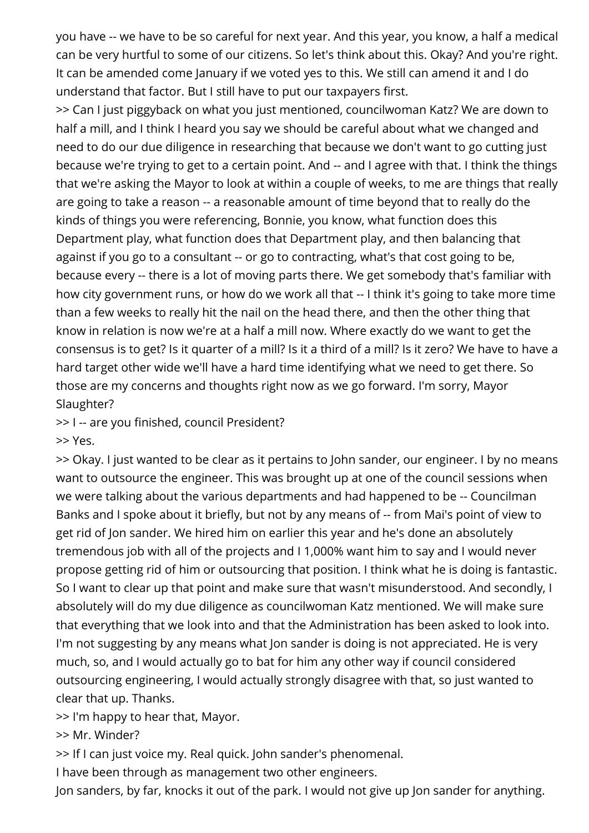you have -- we have to be so careful for next year. And this year, you know, a half a medical can be very hurtful to some of our citizens. So let's think about this. Okay? And you're right. It can be amended come January if we voted yes to this. We still can amend it and I do understand that factor. But I still have to put our taxpayers first.

>> Can I just piggyback on what you just mentioned, councilwoman Katz? We are down to half a mill, and I think I heard you say we should be careful about what we changed and need to do our due diligence in researching that because we don't want to go cutting just because we're trying to get to a certain point. And -- and I agree with that. I think the things that we're asking the Mayor to look at within a couple of weeks, to me are things that really are going to take a reason -- a reasonable amount of time beyond that to really do the kinds of things you were referencing, Bonnie, you know, what function does this Department play, what function does that Department play, and then balancing that against if you go to a consultant -- or go to contracting, what's that cost going to be, because every -- there is a lot of moving parts there. We get somebody that's familiar with how city government runs, or how do we work all that -- I think it's going to take more time than a few weeks to really hit the nail on the head there, and then the other thing that know in relation is now we're at a half a mill now. Where exactly do we want to get the consensus is to get? Is it quarter of a mill? Is it a third of a mill? Is it zero? We have to have a hard target other wide we'll have a hard time identifying what we need to get there. So those are my concerns and thoughts right now as we go forward. I'm sorry, Mayor Slaughter?

>> I -- are you finished, council President?

>> Yes.

>> Okay. I just wanted to be clear as it pertains to John sander, our engineer. I by no means want to outsource the engineer. This was brought up at one of the council sessions when we were talking about the various departments and had happened to be -- Councilman Banks and I spoke about it briefly, but not by any means of -- from Mai's point of view to get rid of Jon sander. We hired him on earlier this year and he's done an absolutely tremendous job with all of the projects and I 1,000% want him to say and I would never propose getting rid of him or outsourcing that position. I think what he is doing is fantastic. So I want to clear up that point and make sure that wasn't misunderstood. And secondly, I absolutely will do my due diligence as councilwoman Katz mentioned. We will make sure that everything that we look into and that the Administration has been asked to look into. I'm not suggesting by any means what Jon sander is doing is not appreciated. He is very much, so, and I would actually go to bat for him any other way if council considered outsourcing engineering, I would actually strongly disagree with that, so just wanted to clear that up. Thanks.

>> I'm happy to hear that, Mayor.

>> Mr. Winder?

>> If I can just voice my. Real quick. John sander's phenomenal.

I have been through as management two other engineers.

Jon sanders, by far, knocks it out of the park. I would not give up Jon sander for anything.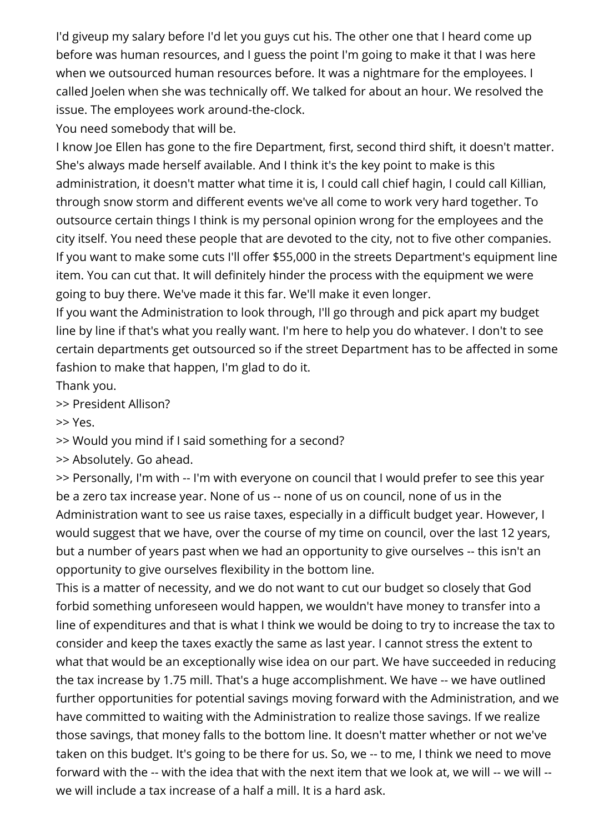I'd giveup my salary before I'd let you guys cut his. The other one that I heard come up before was human resources, and I guess the point I'm going to make it that I was here when we outsourced human resources before. It was a nightmare for the employees. I called Joelen when she was technically off. We talked for about an hour. We resolved the issue. The employees work around-the-clock.

You need somebody that will be.

I know Joe Ellen has gone to the fire Department, first, second third shift, it doesn't matter. She's always made herself available. And I think it's the key point to make is this administration, it doesn't matter what time it is, I could call chief hagin, I could call Killian, through snow storm and different events we've all come to work very hard together. To outsource certain things I think is my personal opinion wrong for the employees and the city itself. You need these people that are devoted to the city, not to five other companies. If you want to make some cuts I'll offer \$55,000 in the streets Department's equipment line item. You can cut that. It will definitely hinder the process with the equipment we were going to buy there. We've made it this far. We'll make it even longer.

If you want the Administration to look through, I'll go through and pick apart my budget line by line if that's what you really want. I'm here to help you do whatever. I don't to see certain departments get outsourced so if the street Department has to be affected in some fashion to make that happen, I'm glad to do it.

Thank you.

>> President Allison?

>> Yes.

>> Would you mind if I said something for a second?

>> Absolutely. Go ahead.

>> Personally, I'm with -- I'm with everyone on council that I would prefer to see this year be a zero tax increase year. None of us -- none of us on council, none of us in the Administration want to see us raise taxes, especially in a difficult budget year. However, I would suggest that we have, over the course of my time on council, over the last 12 years, but a number of years past when we had an opportunity to give ourselves -- this isn't an opportunity to give ourselves flexibility in the bottom line.

This is a matter of necessity, and we do not want to cut our budget so closely that God forbid something unforeseen would happen, we wouldn't have money to transfer into a line of expenditures and that is what I think we would be doing to try to increase the tax to consider and keep the taxes exactly the same as last year. I cannot stress the extent to what that would be an exceptionally wise idea on our part. We have succeeded in reducing the tax increase by 1.75 mill. That's a huge accomplishment. We have -- we have outlined further opportunities for potential savings moving forward with the Administration, and we have committed to waiting with the Administration to realize those savings. If we realize those savings, that money falls to the bottom line. It doesn't matter whether or not we've taken on this budget. It's going to be there for us. So, we -- to me, I think we need to move forward with the -- with the idea that with the next item that we look at, we will -- we will - we will include a tax increase of a half a mill. It is a hard ask.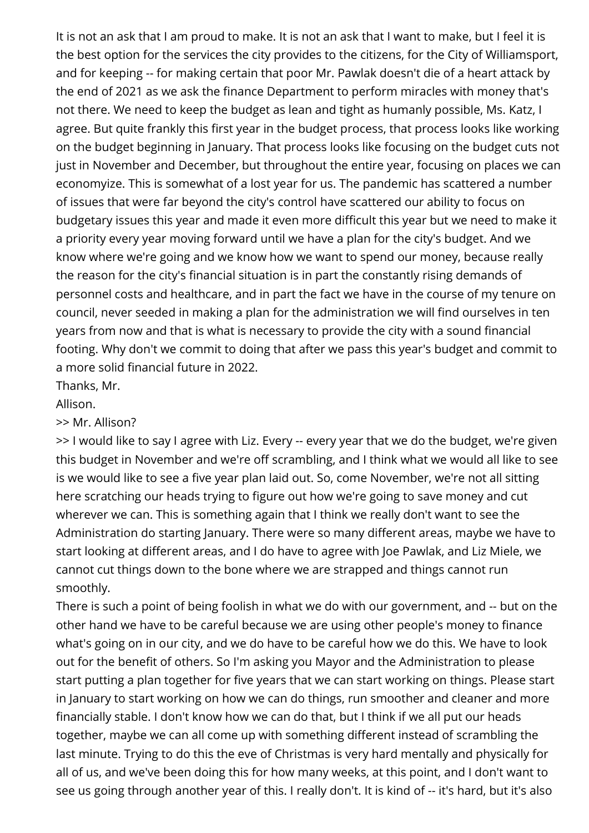It is not an ask that I am proud to make. It is not an ask that I want to make, but I feel it is the best option for the services the city provides to the citizens, for the City of Williamsport, and for keeping -- for making certain that poor Mr. Pawlak doesn't die of a heart attack by the end of 2021 as we ask the finance Department to perform miracles with money that's not there. We need to keep the budget as lean and tight as humanly possible, Ms. Katz, I agree. But quite frankly this first year in the budget process, that process looks like working on the budget beginning in January. That process looks like focusing on the budget cuts not just in November and December, but throughout the entire year, focusing on places we can economyize. This is somewhat of a lost year for us. The pandemic has scattered a number of issues that were far beyond the city's control have scattered our ability to focus on budgetary issues this year and made it even more difficult this year but we need to make it a priority every year moving forward until we have a plan for the city's budget. And we know where we're going and we know how we want to spend our money, because really the reason for the city's financial situation is in part the constantly rising demands of personnel costs and healthcare, and in part the fact we have in the course of my tenure on council, never seeded in making a plan for the administration we will find ourselves in ten years from now and that is what is necessary to provide the city with a sound financial footing. Why don't we commit to doing that after we pass this year's budget and commit to a more solid financial future in 2022.

Thanks, Mr.

Allison.

>> Mr. Allison?

>> I would like to say I agree with Liz. Every -- every year that we do the budget, we're given this budget in November and we're off scrambling, and I think what we would all like to see is we would like to see a five year plan laid out. So, come November, we're not all sitting here scratching our heads trying to figure out how we're going to save money and cut wherever we can. This is something again that I think we really don't want to see the Administration do starting January. There were so many different areas, maybe we have to start looking at different areas, and I do have to agree with Joe Pawlak, and Liz Miele, we cannot cut things down to the bone where we are strapped and things cannot run smoothly.

There is such a point of being foolish in what we do with our government, and -- but on the other hand we have to be careful because we are using other people's money to finance what's going on in our city, and we do have to be careful how we do this. We have to look out for the benefit of others. So I'm asking you Mayor and the Administration to please start putting a plan together for five years that we can start working on things. Please start in January to start working on how we can do things, run smoother and cleaner and more financially stable. I don't know how we can do that, but I think if we all put our heads together, maybe we can all come up with something different instead of scrambling the last minute. Trying to do this the eve of Christmas is very hard mentally and physically for all of us, and we've been doing this for how many weeks, at this point, and I don't want to see us going through another year of this. I really don't. It is kind of -- it's hard, but it's also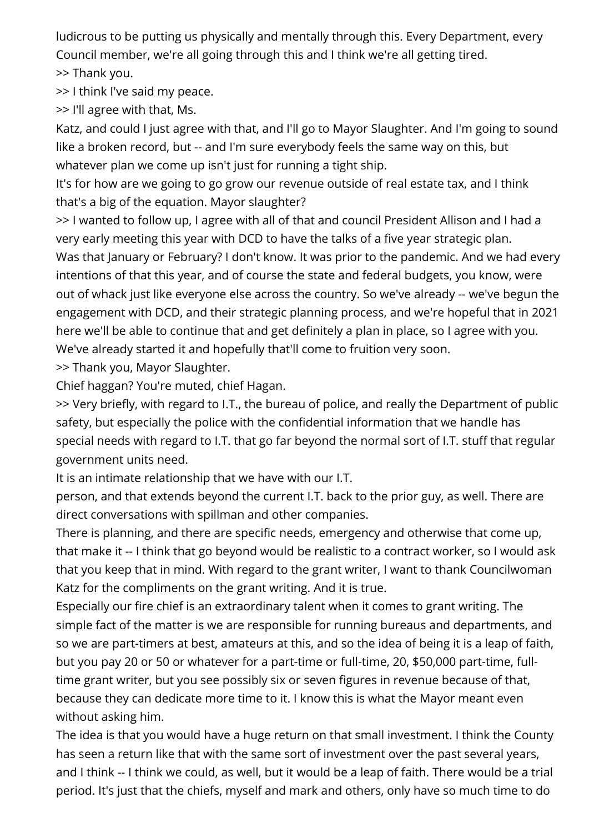ludicrous to be putting us physically and mentally through this. Every Department, every Council member, we're all going through this and I think we're all getting tired.

>> Thank you.

>> I think I've said my peace.

>> I'll agree with that, Ms.

Katz, and could I just agree with that, and I'll go to Mayor Slaughter. And I'm going to sound like a broken record, but -- and I'm sure everybody feels the same way on this, but whatever plan we come up isn't just for running a tight ship.

It's for how are we going to go grow our revenue outside of real estate tax, and I think that's a big of the equation. Mayor slaughter?

>> I wanted to follow up, I agree with all of that and council President Allison and I had a very early meeting this year with DCD to have the talks of a five year strategic plan.

Was that January or February? I don't know. It was prior to the pandemic. And we had every intentions of that this year, and of course the state and federal budgets, you know, were out of whack just like everyone else across the country. So we've already -- we've begun the engagement with DCD, and their strategic planning process, and we're hopeful that in 2021 here we'll be able to continue that and get definitely a plan in place, so I agree with you. We've already started it and hopefully that'll come to fruition very soon.

>> Thank you, Mayor Slaughter.

Chief haggan? You're muted, chief Hagan.

>> Very briefly, with regard to I.T., the bureau of police, and really the Department of public safety, but especially the police with the confidential information that we handle has special needs with regard to I.T. that go far beyond the normal sort of I.T. stuff that regular government units need.

It is an intimate relationship that we have with our I.T.

person, and that extends beyond the current I.T. back to the prior guy, as well. There are direct conversations with spillman and other companies.

There is planning, and there are specific needs, emergency and otherwise that come up, that make it -- I think that go beyond would be realistic to a contract worker, so I would ask that you keep that in mind. With regard to the grant writer, I want to thank Councilwoman Katz for the compliments on the grant writing. And it is true.

Especially our fire chief is an extraordinary talent when it comes to grant writing. The simple fact of the matter is we are responsible for running bureaus and departments, and so we are part-timers at best, amateurs at this, and so the idea of being it is a leap of faith, but you pay 20 or 50 or whatever for a part-time or full-time, 20, \$50,000 part-time, fulltime grant writer, but you see possibly six or seven figures in revenue because of that, because they can dedicate more time to it. I know this is what the Mayor meant even without asking him.

The idea is that you would have a huge return on that small investment. I think the County has seen a return like that with the same sort of investment over the past several years, and I think -- I think we could, as well, but it would be a leap of faith. There would be a trial period. It's just that the chiefs, myself and mark and others, only have so much time to do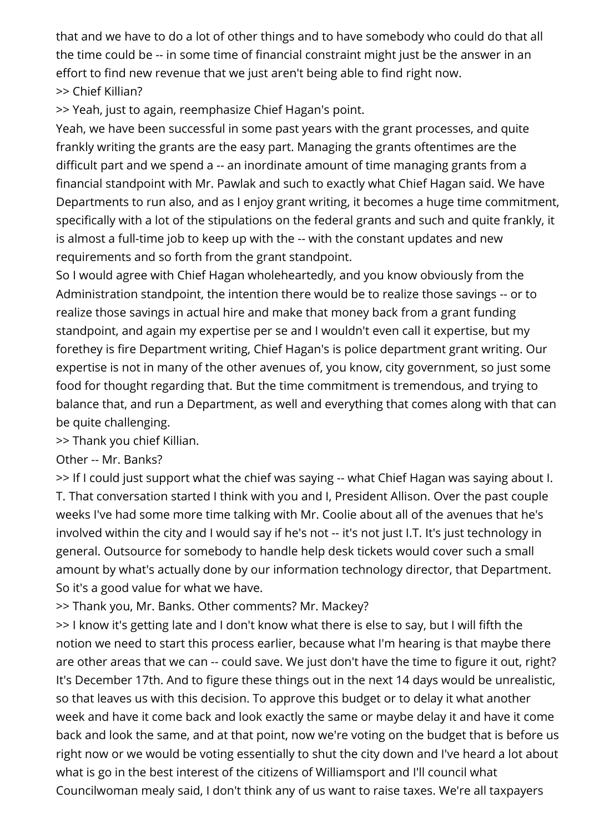that and we have to do a lot of other things and to have somebody who could do that all the time could be -- in some time of financial constraint might just be the answer in an effort to find new revenue that we just aren't being able to find right now. >> Chief Killian?

>> Yeah, just to again, reemphasize Chief Hagan's point.

Yeah, we have been successful in some past years with the grant processes, and quite frankly writing the grants are the easy part. Managing the grants oftentimes are the difficult part and we spend a -- an inordinate amount of time managing grants from a financial standpoint with Mr. Pawlak and such to exactly what Chief Hagan said. We have Departments to run also, and as I enjoy grant writing, it becomes a huge time commitment, specifically with a lot of the stipulations on the federal grants and such and quite frankly, it is almost a full-time job to keep up with the -- with the constant updates and new requirements and so forth from the grant standpoint.

So I would agree with Chief Hagan wholeheartedly, and you know obviously from the Administration standpoint, the intention there would be to realize those savings -- or to realize those savings in actual hire and make that money back from a grant funding standpoint, and again my expertise per se and I wouldn't even call it expertise, but my forethey is fire Department writing, Chief Hagan's is police department grant writing. Our expertise is not in many of the other avenues of, you know, city government, so just some food for thought regarding that. But the time commitment is tremendous, and trying to balance that, and run a Department, as well and everything that comes along with that can be quite challenging.

>> Thank you chief Killian.

Other -- Mr. Banks?

>> If I could just support what the chief was saying -- what Chief Hagan was saying about I. T. That conversation started I think with you and I, President Allison. Over the past couple weeks I've had some more time talking with Mr. Coolie about all of the avenues that he's involved within the city and I would say if he's not -- it's not just I.T. It's just technology in general. Outsource for somebody to handle help desk tickets would cover such a small amount by what's actually done by our information technology director, that Department. So it's a good value for what we have.

>> Thank you, Mr. Banks. Other comments? Mr. Mackey?

>> I know it's getting late and I don't know what there is else to say, but I will fifth the notion we need to start this process earlier, because what I'm hearing is that maybe there are other areas that we can -- could save. We just don't have the time to figure it out, right? It's December 17th. And to figure these things out in the next 14 days would be unrealistic, so that leaves us with this decision. To approve this budget or to delay it what another week and have it come back and look exactly the same or maybe delay it and have it come back and look the same, and at that point, now we're voting on the budget that is before us right now or we would be voting essentially to shut the city down and I've heard a lot about what is go in the best interest of the citizens of Williamsport and I'll council what Councilwoman mealy said, I don't think any of us want to raise taxes. We're all taxpayers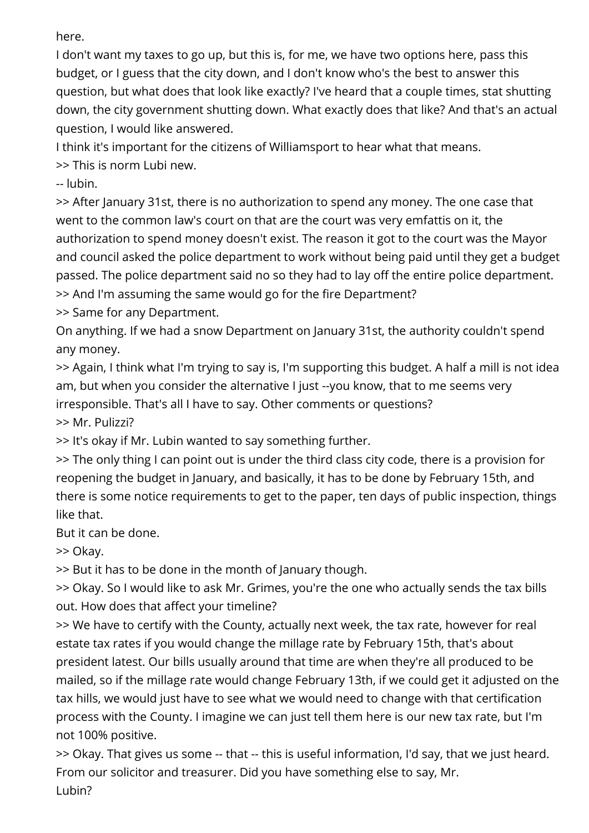here.

I don't want my taxes to go up, but this is, for me, we have two options here, pass this budget, or I guess that the city down, and I don't know who's the best to answer this question, but what does that look like exactly? I've heard that a couple times, stat shutting down, the city government shutting down. What exactly does that like? And that's an actual question, I would like answered.

I think it's important for the citizens of Williamsport to hear what that means.

>> This is norm Lubi new.

-- lubin.

>> After January 31st, there is no authorization to spend any money. The one case that went to the common law's court on that are the court was very emfattis on it, the authorization to spend money doesn't exist. The reason it got to the court was the Mayor and council asked the police department to work without being paid until they get a budget passed. The police department said no so they had to lay off the entire police department. >> And I'm assuming the same would go for the fire Department?

>> Same for any Department.

On anything. If we had a snow Department on January 31st, the authority couldn't spend any money.

>> Again, I think what I'm trying to say is, I'm supporting this budget. A half a mill is not idea am, but when you consider the alternative I just --you know, that to me seems very irresponsible. That's all I have to say. Other comments or questions?

>> Mr. Pulizzi?

>> It's okay if Mr. Lubin wanted to say something further.

>> The only thing I can point out is under the third class city code, there is a provision for reopening the budget in January, and basically, it has to be done by February 15th, and there is some notice requirements to get to the paper, ten days of public inspection, things like that.

But it can be done.

>> Okay.

>> But it has to be done in the month of January though.

>> Okay. So I would like to ask Mr. Grimes, you're the one who actually sends the tax bills out. How does that affect your timeline?

>> We have to certify with the County, actually next week, the tax rate, however for real estate tax rates if you would change the millage rate by February 15th, that's about president latest. Our bills usually around that time are when they're all produced to be mailed, so if the millage rate would change February 13th, if we could get it adjusted on the tax hills, we would just have to see what we would need to change with that certification process with the County. I imagine we can just tell them here is our new tax rate, but I'm not 100% positive.

>> Okay. That gives us some -- that -- this is useful information, I'd say, that we just heard. From our solicitor and treasurer. Did you have something else to say, Mr. Lubin?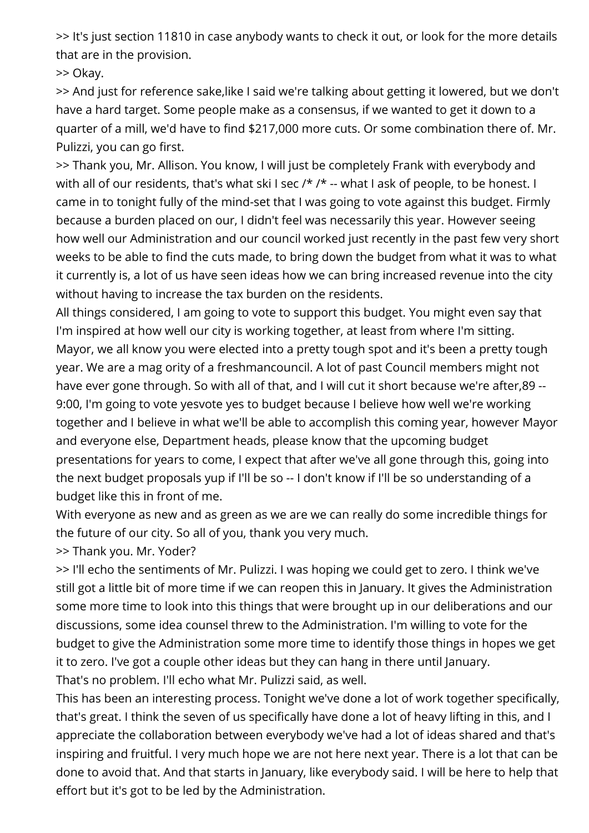>> It's just section 11810 in case anybody wants to check it out, or look for the more details that are in the provision.

>> Okay.

>> And just for reference sake,like I said we're talking about getting it lowered, but we don't have a hard target. Some people make as a consensus, if we wanted to get it down to a quarter of a mill, we'd have to find \$217,000 more cuts. Or some combination there of. Mr. Pulizzi, you can go first.

>> Thank you, Mr. Allison. You know, I will just be completely Frank with everybody and with all of our residents, that's what ski I sec /\* /\* -- what I ask of people, to be honest. I came in to tonight fully of the mind-set that I was going to vote against this budget. Firmly because a burden placed on our, I didn't feel was necessarily this year. However seeing how well our Administration and our council worked just recently in the past few very short weeks to be able to find the cuts made, to bring down the budget from what it was to what it currently is, a lot of us have seen ideas how we can bring increased revenue into the city without having to increase the tax burden on the residents.

All things considered, I am going to vote to support this budget. You might even say that I'm inspired at how well our city is working together, at least from where I'm sitting. Mayor, we all know you were elected into a pretty tough spot and it's been a pretty tough year. We are a mag ority of a freshmancouncil. A lot of past Council members might not have ever gone through. So with all of that, and I will cut it short because we're after,89 -- 9:00, I'm going to vote yesvote yes to budget because I believe how well we're working together and I believe in what we'll be able to accomplish this coming year, however Mayor and everyone else, Department heads, please know that the upcoming budget presentations for years to come, I expect that after we've all gone through this, going into the next budget proposals yup if I'll be so -- I don't know if I'll be so understanding of a budget like this in front of me.

With everyone as new and as green as we are we can really do some incredible things for the future of our city. So all of you, thank you very much.

>> Thank you. Mr. Yoder?

>> I'll echo the sentiments of Mr. Pulizzi. I was hoping we could get to zero. I think we've still got a little bit of more time if we can reopen this in January. It gives the Administration some more time to look into this things that were brought up in our deliberations and our discussions, some idea counsel threw to the Administration. I'm willing to vote for the budget to give the Administration some more time to identify those things in hopes we get it to zero. I've got a couple other ideas but they can hang in there until January. That's no problem. I'll echo what Mr. Pulizzi said, as well.

This has been an interesting process. Tonight we've done a lot of work together specifically, that's great. I think the seven of us specifically have done a lot of heavy lifting in this, and I appreciate the collaboration between everybody we've had a lot of ideas shared and that's inspiring and fruitful. I very much hope we are not here next year. There is a lot that can be done to avoid that. And that starts in January, like everybody said. I will be here to help that effort but it's got to be led by the Administration.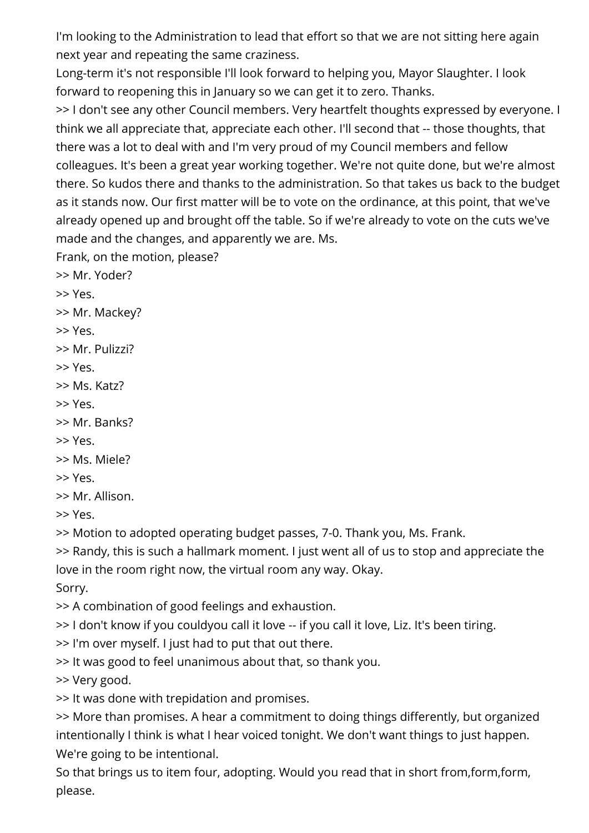I'm looking to the Administration to lead that effort so that we are not sitting here again next year and repeating the same craziness.

Long-term it's not responsible I'll look forward to helping you, Mayor Slaughter. I look forward to reopening this in January so we can get it to zero. Thanks.

>> I don't see any other Council members. Very heartfelt thoughts expressed by everyone. I think we all appreciate that, appreciate each other. I'll second that -- those thoughts, that there was a lot to deal with and I'm very proud of my Council members and fellow colleagues. It's been a great year working together. We're not quite done, but we're almost there. So kudos there and thanks to the administration. So that takes us back to the budget as it stands now. Our first matter will be to vote on the ordinance, at this point, that we've already opened up and brought off the table. So if we're already to vote on the cuts we've made and the changes, and apparently we are. Ms.

Frank, on the motion, please?

- >> Mr. Yoder?
- >> Yes.
- >> Mr. Mackey?
- >> Yes.
- >> Mr. Pulizzi?
- >> Yes.
- >> Ms. Katz?
- >> Yes.
- >> Mr. Banks?
- >> Yes.
- >> Ms. Miele?
- >> Yes.
- >> Mr. Allison.
- >> Yes.

>> Motion to adopted operating budget passes, 7-0. Thank you, Ms. Frank.

>> Randy, this is such a hallmark moment. I just went all of us to stop and appreciate the love in the room right now, the virtual room any way. Okay.

Sorry.

>> A combination of good feelings and exhaustion.

>> I don't know if you couldyou call it love -- if you call it love, Liz. It's been tiring.

>> I'm over myself. I just had to put that out there.

>> It was good to feel unanimous about that, so thank you.

>> Very good.

>> It was done with trepidation and promises.

>> More than promises. A hear a commitment to doing things differently, but organized intentionally I think is what I hear voiced tonight. We don't want things to just happen. We're going to be intentional.

So that brings us to item four, adopting. Would you read that in short from,form,form, please.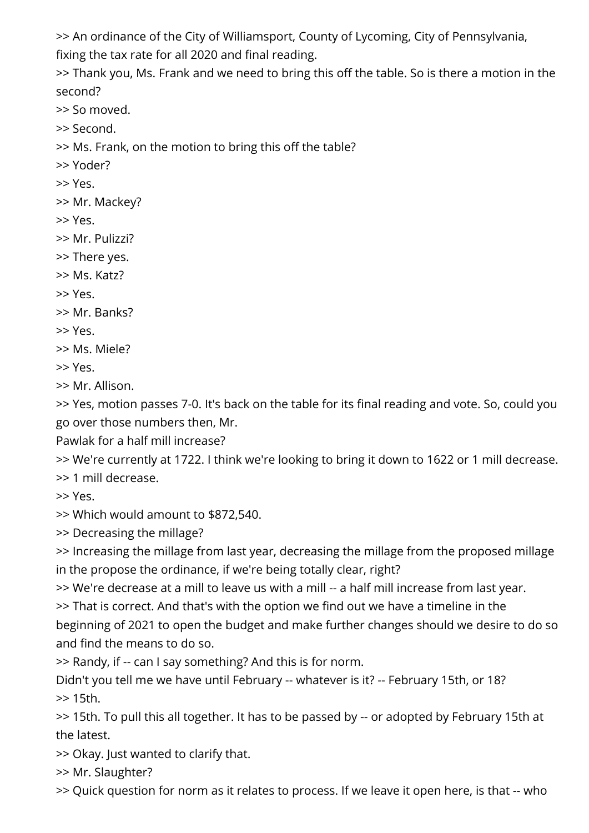>> An ordinance of the City of Williamsport, County of Lycoming, City of Pennsylvania,

fixing the tax rate for all 2020 and final reading.

>> Thank you, Ms. Frank and we need to bring this off the table. So is there a motion in the second?

>> So moved.

>> Second.

>> Ms. Frank, on the motion to bring this off the table?

>> Yoder?

>> Yes.

>> Mr. Mackey?

>> Yes.

>> Mr. Pulizzi?

>> There yes.

>> Ms. Katz?

>> Yes.

>> Mr. Banks?

>> Yes.

>> Ms. Miele?

>> Yes.

>> Mr. Allison.

>> Yes, motion passes 7-0. It's back on the table for its final reading and vote. So, could you go over those numbers then, Mr.

Pawlak for a half mill increase?

>> We're currently at 1722. I think we're looking to bring it down to 1622 or 1 mill decrease.

>> 1 mill decrease.

>> Yes.

>> Which would amount to \$872,540.

>> Decreasing the millage?

>> Increasing the millage from last year, decreasing the millage from the proposed millage in the propose the ordinance, if we're being totally clear, right?

>> We're decrease at a mill to leave us with a mill -- a half mill increase from last year.

>> That is correct. And that's with the option we find out we have a timeline in the

beginning of 2021 to open the budget and make further changes should we desire to do so and find the means to do so.

>> Randy, if -- can I say something? And this is for norm.

Didn't you tell me we have until February -- whatever is it? -- February 15th, or 18? >> 15th.

>> 15th. To pull this all together. It has to be passed by -- or adopted by February 15th at the latest.

>> Okay. Just wanted to clarify that.

>> Mr. Slaughter?

>> Quick question for norm as it relates to process. If we leave it open here, is that -- who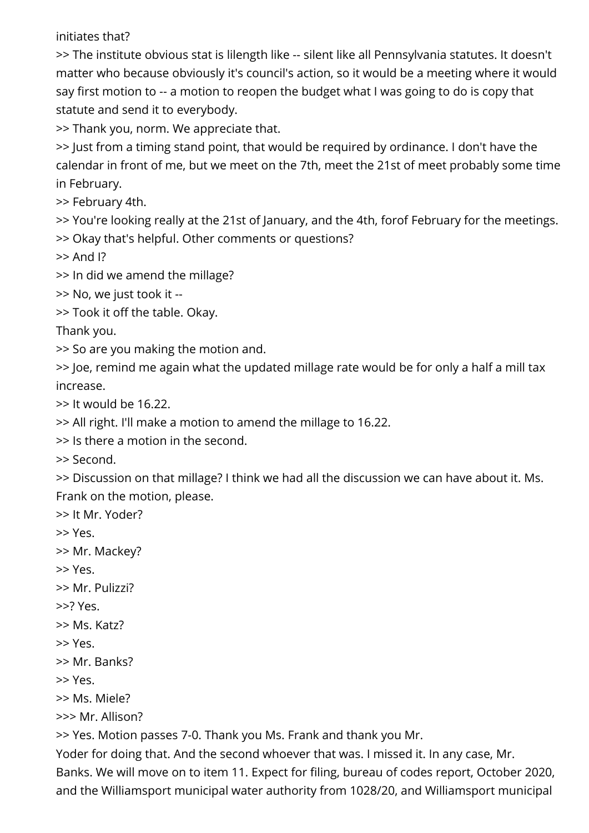initiates that?

>> The institute obvious stat is lilength like -- silent like all Pennsylvania statutes. It doesn't matter who because obviously it's council's action, so it would be a meeting where it would say first motion to -- a motion to reopen the budget what I was going to do is copy that statute and send it to everybody.

>> Thank you, norm. We appreciate that.

>> Just from a timing stand point, that would be required by ordinance. I don't have the calendar in front of me, but we meet on the 7th, meet the 21st of meet probably some time in February.

>> February 4th.

>> You're looking really at the 21st of January, and the 4th, forof February for the meetings.

>> Okay that's helpful. Other comments or questions?

>> And I?

>> In did we amend the millage?

>> No, we just took it --

>> Took it off the table. Okay.

Thank you.

>> So are you making the motion and.

>> Joe, remind me again what the updated millage rate would be for only a half a mill tax increase.

>> It would be 16.22.

>> All right. I'll make a motion to amend the millage to 16.22.

>> Is there a motion in the second.

>> Second.

>> Discussion on that millage? I think we had all the discussion we can have about it. Ms. Frank on the motion, please.

>> It Mr. Yoder?

>> Yes.

>> Mr. Mackey?

>> Yes.

>> Mr. Pulizzi?

>>? Yes.

>> Ms. Katz?

>> Yes.

>> Mr. Banks?

>> Yes.

>> Ms. Miele?

>>> Mr. Allison?

>> Yes. Motion passes 7-0. Thank you Ms. Frank and thank you Mr.

Yoder for doing that. And the second whoever that was. I missed it. In any case, Mr.

Banks. We will move on to item 11. Expect for filing, bureau of codes report, October 2020, and the Williamsport municipal water authority from 1028/20, and Williamsport municipal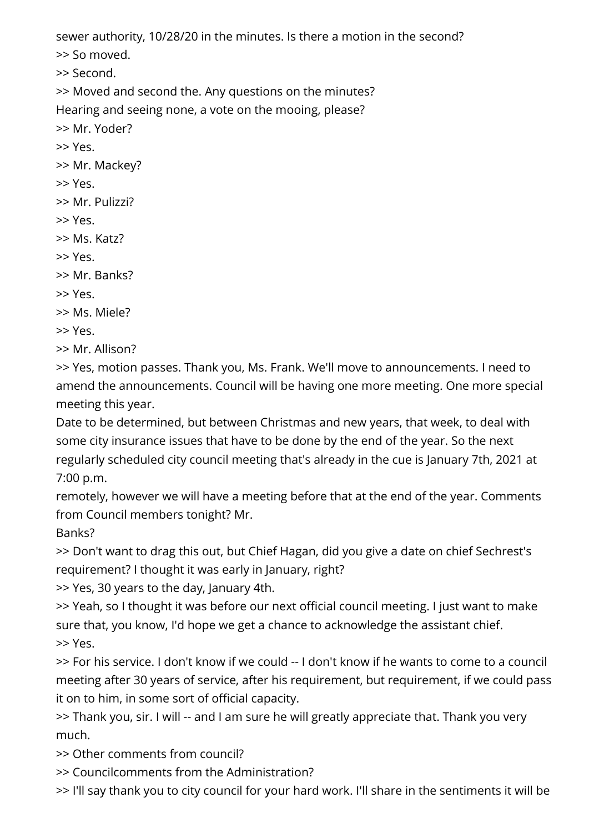sewer authority, 10/28/20 in the minutes. Is there a motion in the second?

>> So moved.

>> Second.

>> Moved and second the. Any questions on the minutes?

Hearing and seeing none, a vote on the mooing, please?

>> Mr. Yoder?

>> Yes.

>> Mr. Mackey?

- >> Yes.
- >> Mr. Pulizzi?
- >> Yes.
- >> Ms. Katz?
- >> Yes.
- >> Mr. Banks?
- >> Yes.
- >> Ms. Miele?

>> Yes.

>> Mr. Allison?

>> Yes, motion passes. Thank you, Ms. Frank. We'll move to announcements. I need to amend the announcements. Council will be having one more meeting. One more special meeting this year.

Date to be determined, but between Christmas and new years, that week, to deal with some city insurance issues that have to be done by the end of the year. So the next regularly scheduled city council meeting that's already in the cue is January 7th, 2021 at 7:00 p.m.

remotely, however we will have a meeting before that at the end of the year. Comments from Council members tonight? Mr.

Banks?

>> Don't want to drag this out, but Chief Hagan, did you give a date on chief Sechrest's requirement? I thought it was early in January, right?

>> Yes, 30 years to the day, January 4th.

>> Yeah, so I thought it was before our next official council meeting. I just want to make sure that, you know, I'd hope we get a chance to acknowledge the assistant chief. >> Yes.

>> For his service. I don't know if we could -- I don't know if he wants to come to a council meeting after 30 years of service, after his requirement, but requirement, if we could pass it on to him, in some sort of official capacity.

>> Thank you, sir. I will -- and I am sure he will greatly appreciate that. Thank you very much.

>> Other comments from council?

>> Councilcomments from the Administration?

>> I'll say thank you to city council for your hard work. I'll share in the sentiments it will be